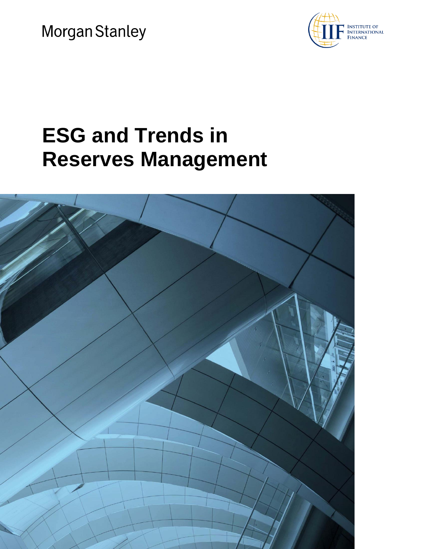Morgan Stanley



# **ESG and Trends in Reserves Management**

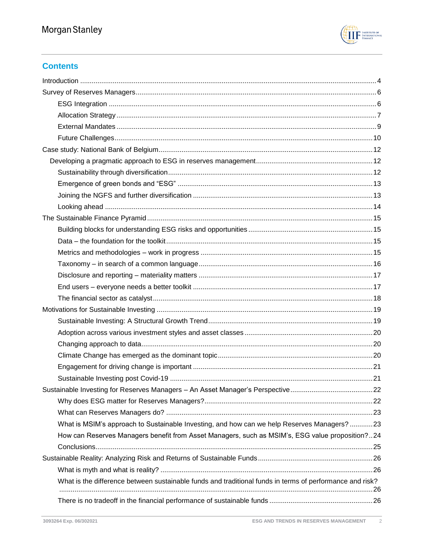

# **Contents**

| What is MSIM's approach to Sustainable Investing, and how can we help Reserves Managers? 23              |  |
|----------------------------------------------------------------------------------------------------------|--|
| How can Reserves Managers benefit from Asset Managers, such as MSIM's, ESG value proposition?24          |  |
|                                                                                                          |  |
|                                                                                                          |  |
|                                                                                                          |  |
| What is the difference between sustainable funds and traditional funds in terms of performance and risk? |  |
|                                                                                                          |  |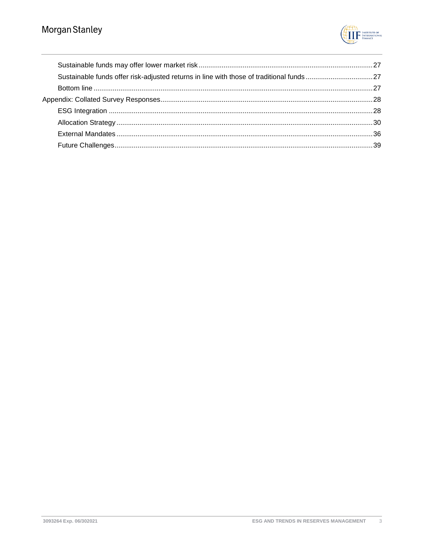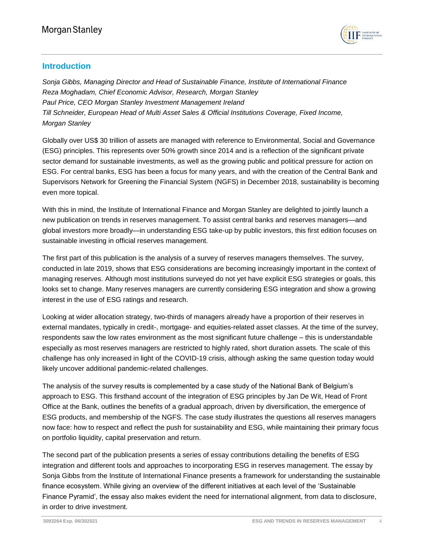

# <span id="page-3-0"></span>**Introduction**

*Sonja Gibbs, Managing Director and Head of Sustainable Finance, Institute of International Finance Reza Moghadam, Chief Economic Advisor, Research, Morgan Stanley Paul Price, CEO Morgan Stanley Investment Management Ireland Till Schneider, European Head of Multi Asset Sales & Official Institutions Coverage, Fixed Income, Morgan Stanley*

Globally over US\$ 30 trillion of assets are managed with reference to Environmental, Social and Governance (ESG) principles. This represents over 50% growth since 2014 and is a reflection of the significant private sector demand for sustainable investments, as well as the growing public and political pressure for action on ESG. For central banks, ESG has been a focus for many years, and with the creation of the Central Bank and Supervisors Network for Greening the Financial System (NGFS) in December 2018, sustainability is becoming even more topical.

With this in mind, the Institute of International Finance and Morgan Stanley are delighted to jointly launch a new publication on trends in reserves management. To assist central banks and reserves managers—and global investors more broadly—in understanding ESG take-up by public investors, this first edition focuses on sustainable investing in official reserves management.

The first part of this publication is the analysis of a survey of reserves managers themselves. The survey, conducted in late 2019, shows that ESG considerations are becoming increasingly important in the context of managing reserves. Although most institutions surveyed do not yet have explicit ESG strategies or goals, this looks set to change. Many reserves managers are currently considering ESG integration and show a growing interest in the use of ESG ratings and research.

Looking at wider allocation strategy, two-thirds of managers already have a proportion of their reserves in external mandates, typically in credit-, mortgage- and equities-related asset classes. At the time of the survey, respondents saw the low rates environment as the most significant future challenge – this is understandable especially as most reserves managers are restricted to highly rated, short duration assets. The scale of this challenge has only increased in light of the COVID-19 crisis, although asking the same question today would likely uncover additional pandemic-related challenges.

The analysis of the survey results is complemented by a case study of the National Bank of Belgium's approach to ESG. This firsthand account of the integration of ESG principles by Jan De Wit, Head of Front Office at the Bank, outlines the benefits of a gradual approach, driven by diversification, the emergence of ESG products, and membership of the NGFS. The case study illustrates the questions all reserves managers now face: how to respect and reflect the push for sustainability and ESG, while maintaining their primary focus on portfolio liquidity, capital preservation and return.

The second part of the publication presents a series of essay contributions detailing the benefits of ESG integration and different tools and approaches to incorporating ESG in reserves management. The essay by Sonja Gibbs from the Institute of International Finance presents a framework for understanding the sustainable finance ecosystem. While giving an overview of the different initiatives at each level of the 'Sustainable Finance Pyramid', the essay also makes evident the need for international alignment, from data to disclosure, in order to drive investment.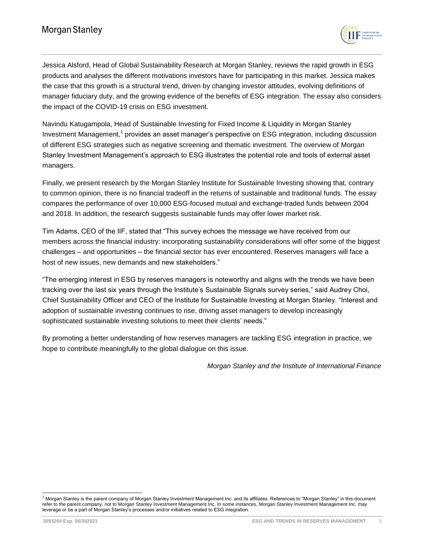

Jessica Alsford, Head of Global Sustainability Research at Morgan Stanley, reviews the rapid growth in ESG products and analyses the different motivations investors have for participating in this market. Jessica makes the case that this growth is a structural trend, driven by changing investor attitudes, evolving definitions of manager fiduciary duty, and the growing evidence of the benefits of ESG integration. The essay also considers the impact of the COVID-19 crisis on ESG investment.

Navindu Katugampola, Head of Sustainable Investing for Fixed Income & Liquidity in Morgan Stanley Investment Management,<sup>1</sup> provides an asset manager's perspective on ESG integration, including discussion of different ESG strategies such as negative screening and thematic investment. The overview of Morgan Stanley Investment Management's approach to ESG illustrates the potential role and tools of external asset managers.

Finally, we present research by the Morgan Stanley Institute for Sustainable Investing showing that, contrary to common opinion, there is no financial tradeoff in the returns of sustainable and traditional funds. The essay compares the performance of over 10,000 ESG-focused mutual and exchange-traded funds between 2004 and 2018. In addition, the research suggests sustainable funds may offer lower market risk.

Tim Adams, CEO of the IIF, stated that "This survey echoes the message we have received from our members across the financial industry: incorporating sustainability considerations will offer some of the biggest challenges – and opportunities – the financial sector has ever encountered. Reserves managers will face a host of new issues, new demands and new stakeholders."

"The emerging interest in ESG by reserves managers is noteworthy and aligns with the trends we have been tracking over the last six years through the Institute's Sustainable Signals survey series," said Audrey Choi, Chief Sustainability Officer and CEO of the Institute for Sustainable Investing at Morgan Stanley. "Interest and adoption of sustainable investing continues to rise, driving asset managers to develop increasingly sophisticated sustainable investing solutions to meet their clients' needs."

By promoting a better understanding of how reserves managers are tackling ESG integration in practice, we hope to contribute meaningfully to the global dialogue on this issue.

*Morgan Stanley and the Institute of International Finance*

l <sup>1</sup> Morgan Stanley is the parent company of Morgan Stanley Investment Management Inc. and its affiliates. References to "Morgan Stanley" in this document refer to the parent company, not to Morgan Stanley Investment Management Inc. In some instances, Morgan Stanley Investment Management Inc. may leverage or be a part of Morgan Stanley's processes and/or initiatives related to ESG integration.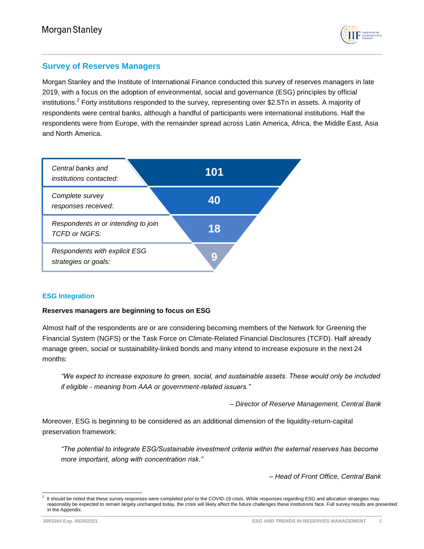

# <span id="page-5-0"></span>**Survey of Reserves Managers**

Morgan Stanley and the Institute of International Finance conducted this survey of reserves managers in late 2019, with a focus on the adoption of environmental, social and governance (ESG) principles by official institutions.<sup>2</sup> Forty institutions responded to the survey, representing over \$2.5Tn in assets. A majority of respondents were central banks, although a handful of participants were international institutions. Half the respondents were from Europe, with the remainder spread across Latin America, Africa, the Middle East, Asia and North America.



## <span id="page-5-1"></span>**ESG Integration**

## **Reserves managers are beginning to focus on ESG**

Almost half of the respondents are or are considering becoming members of the Network for Greening the Financial System (NGFS) or the Task Force on Climate-Related Financial Disclosures (TCFD). Half already manage green, social or sustainability-linked bonds and many intend to increase exposure in the next 24 months:

*"We expect to increase exposure to green, social, and sustainable assets. These would only be included if eligible - meaning from AAA or government-related issuers."* 

*– Director of Reserve Management, Central Bank*

Moreover, ESG is beginning to be considered as an additional dimension of the liquidity-return-capital preservation framework:

*"The potential to integrate ESG/Sustainable investment criteria within the external reserves has become more important, along with concentration risk."* 

*– Head of Front Office, Central Bank*

l 2 It should be noted that these survey responses were completed prior to the COVID-19 crisis. While responses regarding ESG and allocation strategies may reasonably be expected to remain largely unchanged today, the crisis will likely affect the future challenges these institutions face. Full survey results are presented in the Appendix.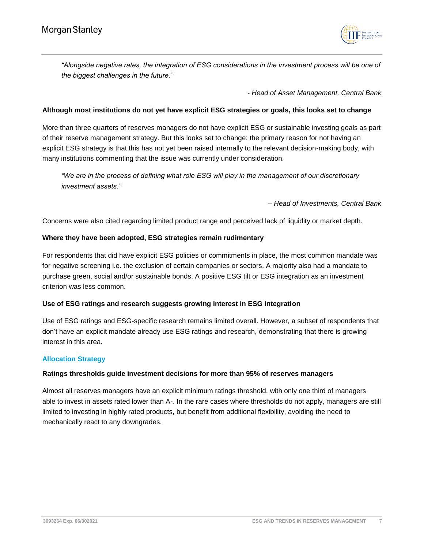

*"Alongside negative rates, the integration of ESG considerations in the investment process will be one of the biggest challenges in the future."*

*- Head of Asset Management, Central Bank*

#### **Although most institutions do not yet have explicit ESG strategies or goals, this looks set to change**

More than three quarters of reserves managers do not have explicit ESG or sustainable investing goals as part of their reserve management strategy. But this looks set to change: the primary reason for not having an explicit ESG strategy is that this has not yet been raised internally to the relevant decision-making body, with many institutions commenting that the issue was currently under consideration.

*"We are in the process of defining what role ESG will play in the management of our discretionary investment assets."* 

#### *– Head of Investments, Central Bank*

Concerns were also cited regarding limited product range and perceived lack of liquidity or market depth.

#### **Where they have been adopted, ESG strategies remain rudimentary**

For respondents that did have explicit ESG policies or commitments in place, the most common mandate was for negative screening i.e. the exclusion of certain companies or sectors. A majority also had a mandate to purchase green, social and/or sustainable bonds. A positive ESG tilt or ESG integration as an investment criterion was less common.

## **Use of ESG ratings and research suggests growing interest in ESG integration**

Use of ESG ratings and ESG-specific research remains limited overall. However, a subset of respondents that don't have an explicit mandate already use ESG ratings and research, demonstrating that there is growing interest in this area.

#### <span id="page-6-0"></span>**Allocation Strategy**

## **Ratings thresholds guide investment decisions for more than 95% of reserves managers**

Almost all reserves managers have an explicit minimum ratings threshold, with only one third of managers able to invest in assets rated lower than A-. In the rare cases where thresholds do not apply, managers are still limited to investing in highly rated products, but benefit from additional flexibility, avoiding the need to mechanically react to any downgrades.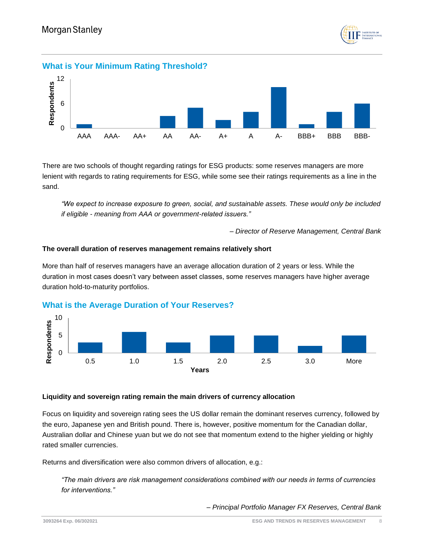

# **What is Your Minimum Rating Threshold?**



There are two schools of thought regarding ratings for ESG products: some reserves managers are more lenient with regards to rating requirements for ESG, while some see their ratings requirements as a line in the sand.

*"We expect to increase exposure to green, social, and sustainable assets. These would only be included if eligible - meaning from AAA or government-related issuers."* 

*– Director of Reserve Management, Central Bank*

#### **The overall duration of reserves management remains relatively short**

More than half of reserves managers have an average allocation duration of 2 years or less. While the duration in most cases doesn't vary between asset classes, some reserves managers have higher average duration hold-to-maturity portfolios.



## **What is the Average Duration of Your Reserves?**

#### **Liquidity and sovereign rating remain the main drivers of currency allocation**

Focus on liquidity and sovereign rating sees the US dollar remain the dominant reserves currency, followed by the euro, Japanese yen and British pound. There is, however, positive momentum for the Canadian dollar, Australian dollar and Chinese yuan but we do not see that momentum extend to the higher yielding or highly rated smaller currencies.

Returns and diversification were also common drivers of allocation, e.g.:

*"The main drivers are risk management considerations combined with our needs in terms of currencies for interventions."* 

*– Principal Portfolio Manager FX Reserves, Central Bank*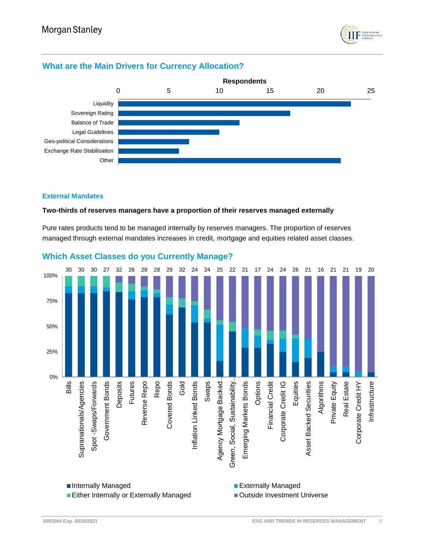

# **What are the Main Drivers for Currency Allocation?**



#### <span id="page-8-0"></span>**External Mandates**

#### **Two-thirds of reserves managers have a proportion of their reserves managed externally**

Pure rates products tend to be managed internally by reserves managers. The proportion of reserves managed through external mandates increases in credit, mortgage and equities related asset classes.



# **Which Asset Classes do you Currently Manage?**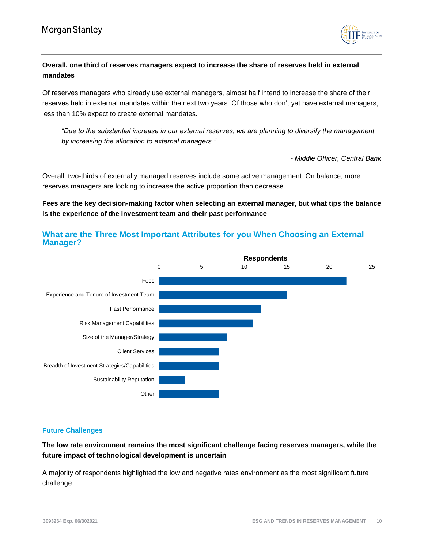

# **Overall, one third of reserves managers expect to increase the share of reserves held in external mandates**

Of reserves managers who already use external managers, almost half intend to increase the share of their reserves held in external mandates within the next two years. Of those who don't yet have external managers, less than 10% expect to create external mandates.

*"Due to the substantial increase in our external reserves, we are planning to diversify the management by increasing the allocation to external managers."*

*- Middle Officer, Central Bank*

Overall, two-thirds of externally managed reserves include some active management. On balance, more reserves managers are looking to increase the active proportion than decrease.

# **Fees are the key decision-making factor when selecting an external manager, but what tips the balance is the experience of the investment team and their past performance**



# **What are the Three Most Important Attributes for you When Choosing an External Manager?**

## <span id="page-9-0"></span>**Future Challenges**

# **The low rate environment remains the most significant challenge facing reserves managers, while the future impact of technological development is uncertain**

A majority of respondents highlighted the low and negative rates environment as the most significant future challenge: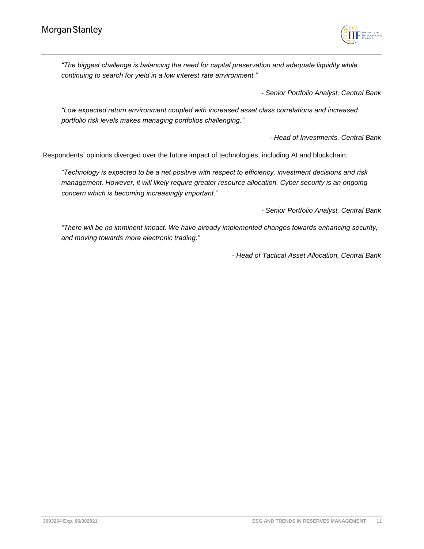

*"The biggest challenge is balancing the need for capital preservation and adequate liquidity while continuing to search for yield in a low interest rate environment."*

*- Senior Portfolio Analyst, Central Bank*

*"Low expected return environment coupled with increased asset class correlations and increased portfolio risk levels makes managing portfolios challenging."*

*- Head of Investments, Central Bank*

Respondents' opinions diverged over the future impact of technologies, including AI and blockchain:

*"Technology is expected to be a net positive with respect to efficiency, investment decisions and risk management. However, it will likely require greater resource allocation. Cyber security is an ongoing concern which is becoming increasingly important."*

*- Senior Portfolio Analyst, Central Bank*

*"There will be no imminent impact. We have already implemented changes towards enhancing security, and moving towards more electronic trading."* 

*- Head of Tactical Asset Allocation, Central Bank*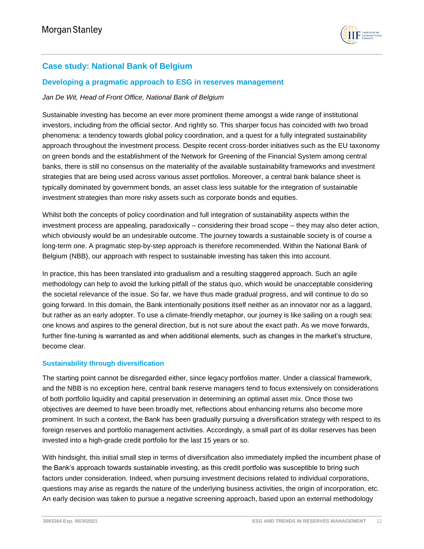

# <span id="page-11-0"></span>**Case study: National Bank of Belgium**

## <span id="page-11-1"></span>**Developing a pragmatic approach to ESG in reserves management**

## *Jan De Wit, Head of Front Office, National Bank of Belgium*

Sustainable investing has become an ever more prominent theme amongst a wide range of institutional investors, including from the official sector. And rightly so. This sharper focus has coincided with two broad phenomena: a tendency towards global policy coordination, and a quest for a fully integrated sustainability approach throughout the investment process. Despite recent cross-border initiatives such as the EU taxonomy on green bonds and the establishment of the Network for Greening of the Financial System among central banks, there is still no consensus on the materiality of the available sustainability frameworks and investment strategies that are being used across various asset portfolios. Moreover, a central bank balance sheet is typically dominated by government bonds, an asset class less suitable for the integration of sustainable investment strategies than more risky assets such as corporate bonds and equities.

Whilst both the concepts of policy coordination and full integration of sustainability aspects within the investment process are appealing, paradoxically – considering their broad scope – they may also deter action, which obviously would be an undesirable outcome. The journey towards a sustainable society is of course a long-term one. A pragmatic step-by-step approach is therefore recommended. Within the National Bank of Belgium (NBB), our approach with respect to sustainable investing has taken this into account.

In practice, this has been translated into gradualism and a resulting staggered approach. Such an agile methodology can help to avoid the lurking pitfall of the status quo, which would be unacceptable considering the societal relevance of the issue. So far, we have thus made gradual progress, and will continue to do so going forward. In this domain, the Bank intentionally positions itself neither as an innovator nor as a laggard, but rather as an early adopter. To use a climate-friendly metaphor, our journey is like sailing on a rough sea: one knows and aspires to the general direction, but is not sure about the exact path. As we move forwards, further fine-tuning is warranted as and when additional elements, such as changes in the market's structure, become clear.

## <span id="page-11-2"></span>**Sustainability through diversification**

The starting point cannot be disregarded either, since legacy portfolios matter. Under a classical framework, and the NBB is no exception here, central bank reserve managers tend to focus extensively on considerations of both portfolio liquidity and capital preservation in determining an optimal asset mix. Once those two objectives are deemed to have been broadly met, reflections about enhancing returns also become more prominent. In such a context, the Bank has been gradually pursuing a diversification strategy with respect to its foreign reserves and portfolio management activities. Accordingly, a small part of its dollar reserves has been invested into a high-grade credit portfolio for the last 15 years or so.

With hindsight, this initial small step in terms of diversification also immediately implied the incumbent phase of the Bank's approach towards sustainable investing, as this credit portfolio was susceptible to bring such factors under consideration. Indeed, when pursuing investment decisions related to individual corporations, questions may arise as regards the nature of the underlying business activities, the origin of incorporation, etc. An early decision was taken to pursue a negative screening approach, based upon an external methodology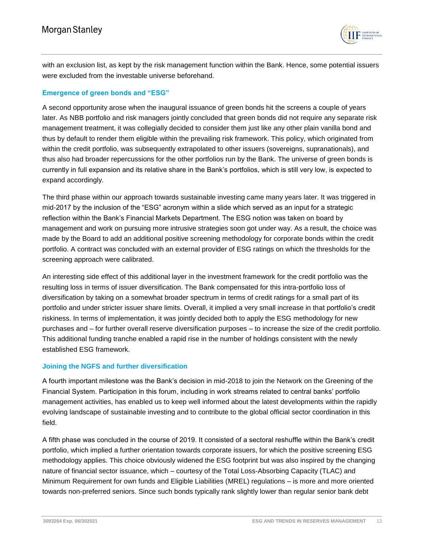

with an exclusion list, as kept by the risk management function within the Bank. Hence, some potential issuers were excluded from the investable universe beforehand.

#### <span id="page-12-0"></span>**Emergence of green bonds and "ESG"**

A second opportunity arose when the inaugural issuance of green bonds hit the screens a couple of years later. As NBB portfolio and risk managers jointly concluded that green bonds did not require any separate risk management treatment, it was collegially decided to consider them just like any other plain vanilla bond and thus by default to render them eligible within the prevailing risk framework. This policy, which originated from within the credit portfolio, was subsequently extrapolated to other issuers (sovereigns, supranationals), and thus also had broader repercussions for the other portfolios run by the Bank. The universe of green bonds is currently in full expansion and its relative share in the Bank's portfolios, which is still very low, is expected to expand accordingly.

The third phase within our approach towards sustainable investing came many years later. It was triggered in mid-2017 by the inclusion of the "ESG" acronym within a slide which served as an input for a strategic reflection within the Bank's Financial Markets Department. The ESG notion was taken on board by management and work on pursuing more intrusive strategies soon got under way. As a result, the choice was made by the Board to add an additional positive screening methodology for corporate bonds within the credit portfolio. A contract was concluded with an external provider of ESG ratings on which the thresholds for the screening approach were calibrated.

An interesting side effect of this additional layer in the investment framework for the credit portfolio was the resulting loss in terms of issuer diversification. The Bank compensated for this intra-portfolio loss of diversification by taking on a somewhat broader spectrum in terms of credit ratings for a small part of its portfolio and under stricter issuer share limits. Overall, it implied a very small increase in that portfolio's credit riskiness. In terms of implementation, it was jointly decided both to apply the ESG methodology for new purchases and – for further overall reserve diversification purposes – to increase the size of the credit portfolio. This additional funding tranche enabled a rapid rise in the number of holdings consistent with the newly established ESG framework.

#### <span id="page-12-1"></span>**Joining the NGFS and further diversification**

A fourth important milestone was the Bank's decision in mid-2018 to join the Network on the Greening of the Financial System. Participation in this forum, including in work streams related to central banks' portfolio management activities, has enabled us to keep well informed about the latest developments within the rapidly evolving landscape of sustainable investing and to contribute to the global official sector coordination in this field.

A fifth phase was concluded in the course of 2019. It consisted of a sectoral reshuffle within the Bank's credit portfolio, which implied a further orientation towards corporate issuers, for which the positive screening ESG methodology applies. This choice obviously widened the ESG footprint but was also inspired by the changing nature of financial sector issuance, which – courtesy of the Total Loss-Absorbing Capacity (TLAC) and Minimum Requirement for own funds and Eligible Liabilities (MREL) regulations – is more and more oriented towards non-preferred seniors. Since such bonds typically rank slightly lower than regular senior bank debt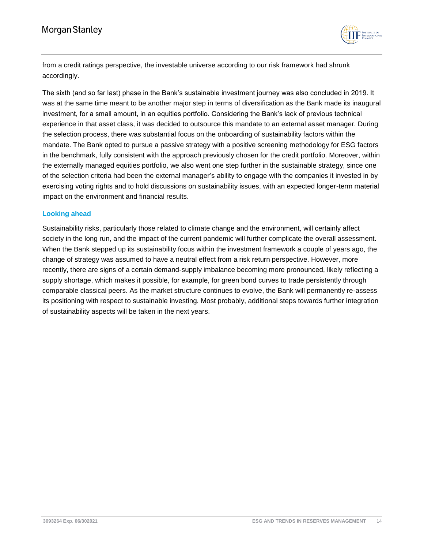

from a credit ratings perspective, the investable universe according to our risk framework had shrunk accordingly.

The sixth (and so far last) phase in the Bank's sustainable investment journey was also concluded in 2019. It was at the same time meant to be another major step in terms of diversification as the Bank made its inaugural investment, for a small amount, in an equities portfolio. Considering the Bank's lack of previous technical experience in that asset class, it was decided to outsource this mandate to an external asset manager. During the selection process, there was substantial focus on the onboarding of sustainability factors within the mandate. The Bank opted to pursue a passive strategy with a positive screening methodology for ESG factors in the benchmark, fully consistent with the approach previously chosen for the credit portfolio. Moreover, within the externally managed equities portfolio, we also went one step further in the sustainable strategy, since one of the selection criteria had been the external manager's ability to engage with the companies it invested in by exercising voting rights and to hold discussions on sustainability issues, with an expected longer-term material impact on the environment and financial results.

## <span id="page-13-0"></span>**Looking ahead**

Sustainability risks, particularly those related to climate change and the environment, will certainly affect society in the long run, and the impact of the current pandemic will further complicate the overall assessment. When the Bank stepped up its sustainability focus within the investment framework a couple of years ago, the change of strategy was assumed to have a neutral effect from a risk return perspective. However, more recently, there are signs of a certain demand-supply imbalance becoming more pronounced, likely reflecting a supply shortage, which makes it possible, for example, for green bond curves to trade persistently through comparable classical peers. As the market structure continues to evolve, the Bank will permanently re-assess its positioning with respect to sustainable investing. Most probably, additional steps towards further integration of sustainability aspects will be taken in the next years.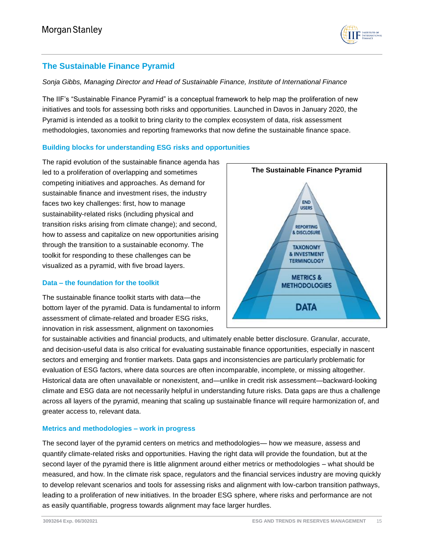

# <span id="page-14-0"></span>**The Sustainable Finance Pyramid**

## *Sonja Gibbs, Managing Director and Head of Sustainable Finance, Institute of International Finance*

The IIF's "Sustainable Finance Pyramid" is a conceptual framework to help map the proliferation of new initiatives and tools for assessing both risks and opportunities. Launched in Davos in January 2020, the Pyramid is intended as a toolkit to bring clarity to the complex ecosystem of data, risk assessment methodologies, taxonomies and reporting frameworks that now define the sustainable finance space.

## <span id="page-14-1"></span>**Building blocks for understanding ESG risks and opportunities**

The rapid evolution of the sustainable finance agenda has led to a proliferation of overlapping and sometimes competing initiatives and approaches. As demand for sustainable finance and investment rises, the industry faces two key challenges: first, how to manage sustainability-related risks (including physical and transition risks arising from climate change); and second, how to assess and capitalize on new opportunities arising through the transition to a sustainable economy. The toolkit for responding to these challenges can be visualized as a pyramid, with five broad layers.

## <span id="page-14-2"></span>**Data – the foundation for the toolkit**

The sustainable finance toolkit starts with data—the bottom layer of the pyramid. Data is fundamental to inform assessment of climate-related and broader ESG risks, innovation in risk assessment, alignment on taxonomies



for sustainable activities and financial products, and ultimately enable better disclosure. Granular, accurate, and decision-useful data is also critical for evaluating sustainable finance opportunities, especially in nascent sectors and emerging and frontier markets. Data gaps and inconsistencies are particularly problematic for evaluation of ESG factors, where data sources are often incomparable, incomplete, or missing altogether. Historical data are often unavailable or nonexistent, and—unlike in credit risk assessment—backward-looking climate and ESG data are not necessarily helpful in understanding future risks. Data gaps are thus a challenge across all layers of the pyramid, meaning that scaling up sustainable finance will require harmonization of, and greater access to, relevant data.

## <span id="page-14-3"></span>**Metrics and methodologies – work in progress**

The second layer of the pyramid centers on metrics and methodologies— how we measure, assess and quantify climate-related risks and opportunities. Having the right data will provide the foundation, but at the second layer of the pyramid there is little alignment around either metrics or methodologies – what should be measured, and how. In the climate risk space, regulators and the financial services industry are moving quickly to develop relevant scenarios and tools for assessing risks and alignment with low-carbon transition pathways, leading to a proliferation of new initiatives. In the broader ESG sphere, where risks and performance are not as easily quantifiable, progress towards alignment may face larger hurdles.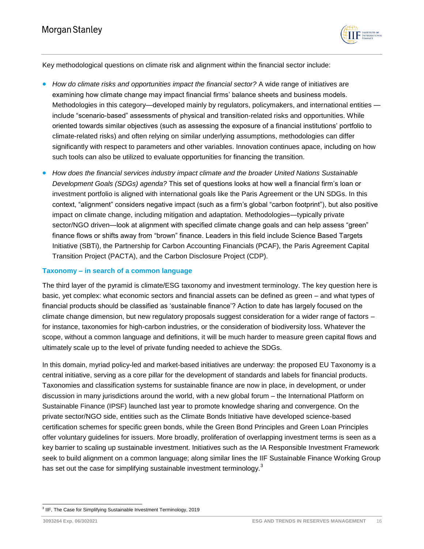

Key methodological questions on climate risk and alignment within the financial sector include:

- **How do climate risks and opportunities impact the financial sector?** A wide range of initiatives are examining how climate change may impact financial firms' balance sheets and business models. Methodologies in this category—developed mainly by regulators, policymakers, and international entities include "scenario-based" assessments of physical and transition-related risks and opportunities. While oriented towards similar objectives (such as assessing the exposure of a financial institutions' portfolio to climate-related risks) and often relying on similar underlying assumptions, methodologies can differ significantly with respect to parameters and other variables. Innovation continues apace, including on how such tools can also be utilized to evaluate opportunities for financing the transition.
- **How does the financial services industry impact climate and the broader United Nations Sustainable** *Development Goals (SDGs) agenda?* This set of questions looks at how well a financial firm's loan or investment portfolio is aligned with international goals like the Paris Agreement or the UN SDGs. In this context, "alignment" considers negative impact (such as a firm's global "carbon footprint"), but also positive impact on climate change, including mitigation and adaptation. Methodologies—typically private sector/NGO driven—look at alignment with specified climate change goals and can help assess "green" finance flows or shifts away from "brown" finance. Leaders in this field include Science Based Targets Initiative (SBTi), the Partnership for Carbon Accounting Financials (PCAF), the Paris Agreement Capital Transition Project (PACTA), and the Carbon Disclosure Project (CDP).

## <span id="page-15-0"></span>**Taxonomy – in search of a common language**

The third layer of the pyramid is climate/ESG taxonomy and investment terminology. The key question here is basic, yet complex: what economic sectors and financial assets can be defined as green – and what types of financial products should be classified as 'sustainable finance'? Action to date has largely focused on the climate change dimension, but new regulatory proposals suggest consideration for a wider range of factors – for instance, taxonomies for high-carbon industries, or the consideration of biodiversity loss. Whatever the scope, without a common language and definitions, it will be much harder to measure green capital flows and ultimately scale up to the level of private funding needed to achieve the SDGs.

In this domain, myriad policy-led and market-based initiatives are underway: the proposed EU Taxonomy is a central initiative, serving as a core pillar for the development of standards and labels for financial products. Taxonomies and classification systems for sustainable finance are now in place, in development, or under discussion in many jurisdictions around the world, with a new global forum – the International Platform on Sustainable Finance (IPSF) launched last year to promote knowledge sharing and convergence. On the private sector/NGO side, entities such as the Climate Bonds Initiative have developed science-based certification schemes for specific green bonds, while the Green Bond Principles and Green Loan Principles offer voluntary guidelines for issuers. More broadly, proliferation of overlapping investment terms is seen as a key barrier to scaling up sustainable investment. Initiatives such as the IA Responsible Investment Framework seek to build alignment on a common language; along similar lines the IIF Sustainable Finance Working Group has set out the case for simplifying sustainable investment terminology.<sup>3</sup>

 3 IIF, The Case for Simplifying Sustainable Investment Terminology, 2019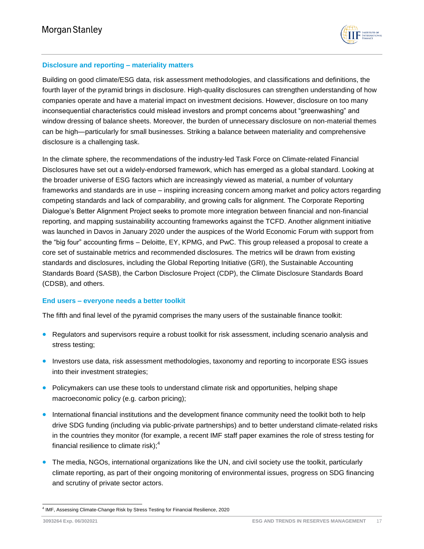

## <span id="page-16-0"></span>**Disclosure and reporting – materiality matters**

Building on good climate/ESG data, risk assessment methodologies, and classifications and definitions, the fourth layer of the pyramid brings in disclosure. High-quality disclosures can strengthen understanding of how companies operate and have a material impact on investment decisions. However, disclosure on too many inconsequential characteristics could mislead investors and prompt concerns about "greenwashing" and window dressing of balance sheets. Moreover, the burden of unnecessary disclosure on non-material themes can be high—particularly for small businesses. Striking a balance between materiality and comprehensive disclosure is a challenging task.

In the climate sphere, the recommendations of the industry-led Task Force on Climate-related Financial Disclosures have set out a widely-endorsed framework, which has emerged as a global standard. Looking at the broader universe of ESG factors which are increasingly viewed as material, a number of voluntary frameworks and standards are in use – inspiring increasing concern among market and policy actors regarding competing standards and lack of comparability, and growing calls for alignment. The Corporate Reporting Dialogue's Better Alignment Project seeks to promote more integration between financial and non-financial reporting, and mapping sustainability accounting frameworks against the TCFD. Another alignment initiative was launched in Davos in January 2020 under the auspices of the World Economic Forum with support from the "big four" accounting firms – Deloitte, EY, KPMG, and PwC. This group released a proposal to create a core set of sustainable metrics and recommended disclosures. The metrics will be drawn from existing standards and disclosures, including the Global Reporting Initiative (GRI), the Sustainable Accounting Standards Board (SASB), the Carbon Disclosure Project (CDP), the Climate Disclosure Standards Board (CDSB), and others.

## <span id="page-16-1"></span>**End users – everyone needs a better toolkit**

The fifth and final level of the pyramid comprises the many users of the sustainable finance toolkit:

- Regulators and supervisors require a robust toolkit for risk assessment, including scenario analysis and stress testing;
- Investors use data, risk assessment methodologies, taxonomy and reporting to incorporate ESG issues into their investment strategies;
- Policymakers can use these tools to understand climate risk and opportunities, helping shape macroeconomic policy (e.g. carbon pricing);
- International financial institutions and the development finance community need the toolkit both to help drive SDG funding (including via public-private partnerships) and to better understand climate-related risks in the countries they monitor (for example, a recent IMF staff paper examines the role of stress testing for financial resilience to climate risk); $<sup>4</sup>$ </sup>
- The media, NGOs, international organizations like the UN, and civil society use the toolkit, particularly climate reporting, as part of their ongoing monitoring of environmental issues, progress on SDG financing and scrutiny of private sector actors.

l <sup>4</sup> IMF, Assessing Climate-Change Risk by Stress Testing for Financial Resilience, 2020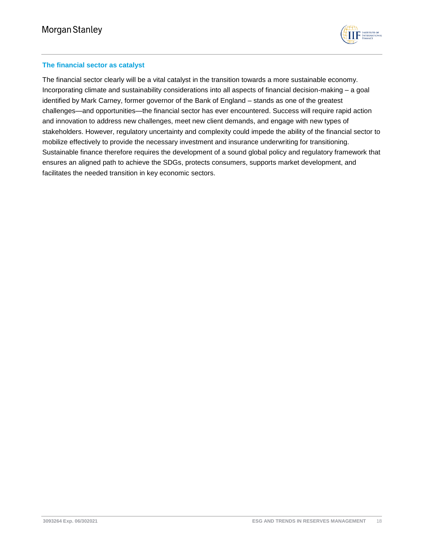

## <span id="page-17-0"></span>**The financial sector as catalyst**

The financial sector clearly will be a vital catalyst in the transition towards a more sustainable economy. Incorporating climate and sustainability considerations into all aspects of financial decision-making – a goal identified by Mark Carney, former governor of the Bank of England – stands as one of the greatest challenges—and opportunities—the financial sector has ever encountered. Success will require rapid action and innovation to address new challenges, meet new client demands, and engage with new types of stakeholders. However, regulatory uncertainty and complexity could impede the ability of the financial sector to mobilize effectively to provide the necessary investment and insurance underwriting for transitioning. Sustainable finance therefore requires the development of a sound global policy and regulatory framework that ensures an aligned path to achieve the SDGs, protects consumers, supports market development, and facilitates the needed transition in key economic sectors.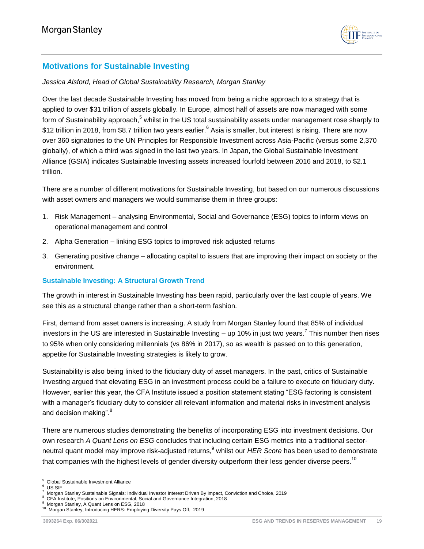

# <span id="page-18-0"></span>**Motivations for Sustainable Investing**

#### *Jessica Alsford, Head of Global Sustainability Research, Morgan Stanley*

Over the last decade Sustainable Investing has moved from being a niche approach to a strategy that is applied to over \$31 trillion of assets globally. In Europe, almost half of assets are now managed with some form of Sustainability approach,<sup>5</sup> whilst in the US total sustainability assets under management rose sharply to \$12 trillion in 2018, from \$8.7 trillion two years earlier.<sup>6</sup> Asia is smaller, but interest is rising. There are now over 360 signatories to the UN Principles for Responsible Investment across Asia-Pacific (versus some 2,370 globally), of which a third was signed in the last two years. In Japan, the Global Sustainable Investment Alliance (GSIA) indicates Sustainable Investing assets increased fourfold between 2016 and 2018, to \$2.1 trillion.

There are a number of different motivations for Sustainable Investing, but based on our numerous discussions with asset owners and managers we would summarise them in three groups:

- 1. Risk Management analysing Environmental, Social and Governance (ESG) topics to inform views on operational management and control
- 2. Alpha Generation linking ESG topics to improved risk adjusted returns
- 3. Generating positive change allocating capital to issuers that are improving their impact on society or the environment.

## <span id="page-18-1"></span>**Sustainable Investing: A Structural Growth Trend**

The growth in interest in Sustainable Investing has been rapid, particularly over the last couple of years. We see this as a structural change rather than a short-term fashion.

First, demand from asset owners is increasing. A study from Morgan Stanley found that 85% of individual investors in the US are interested in Sustainable Investing – up 10% in just two years.<sup>7</sup> This number then rises to 95% when only considering millennials (vs 86% in 2017), so as wealth is passed on to this generation, appetite for Sustainable Investing strategies is likely to grow.

Sustainability is also being linked to the fiduciary duty of asset managers. In the past, critics of Sustainable Investing argued that elevating ESG in an investment process could be a failure to execute on fiduciary duty. However, earlier this year, the CFA Institute issued a position statement stating "ESG factoring is consistent with a manager's fiduciary duty to consider all relevant information and material risks in investment analysis and decision making".<sup>8</sup>

There are numerous studies demonstrating the benefits of incorporating ESG into investment decisions. Our own research *A Quant Lens on ESG* concludes that including certain ESG metrics into a traditional sectorneutral quant model may improve risk-adjusted returns,<sup>9</sup> whilst our *HER Score* has been used to demonstrate that companies with the highest levels of gender diversity outperform their less gender diverse peers.<sup>10</sup>

l

<sup>5</sup> Global Sustainable Investment Alliance

<sup>6</sup> US SIF

<sup>7</sup> Morgan Stanley Sustainable Signals: Individual Investor Interest Driven By Impact, Conviction and Choice, 2019 8

CFA Institute, Positions on Environmental, Social and Governance Integration, 2018 9

Morgan Stanley, A Quant Lens on ESG, 2018

<sup>&</sup>lt;sup>10</sup> Morgan Stanley, Introducing HERS: Employing Diversity Pays Off, 2019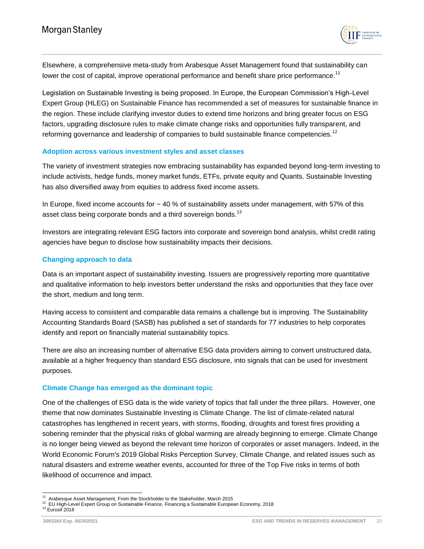

Elsewhere, a comprehensive meta-study from Arabesque Asset Management found that sustainability can lower the cost of capital, improve operational performance and benefit share price performance.<sup>11</sup>

Legislation on Sustainable Investing is being proposed. In Europe, the European Commission's High-Level Expert Group (HLEG) on Sustainable Finance has recommended a set of measures for sustainable finance in the region. These include clarifying investor duties to extend time horizons and bring greater focus on ESG factors, upgrading disclosure rules to make climate change risks and opportunities fully transparent, and reforming governance and leadership of companies to build sustainable finance competencies.<sup>12</sup>

#### <span id="page-19-0"></span>**Adoption across various investment styles and asset classes**

The variety of investment strategies now embracing sustainability has expanded beyond long-term investing to include activists, hedge funds, money market funds, ETFs, private equity and Quants. Sustainable Investing has also diversified away from equities to address fixed income assets.

In Europe, fixed income accounts for ~ 40 % of sustainability assets under management, with 57% of this asset class being corporate bonds and a third sovereign bonds.<sup>13</sup>

Investors are integrating relevant ESG factors into corporate and sovereign bond analysis, whilst credit rating agencies have begun to disclose how sustainability impacts their decisions.

## <span id="page-19-1"></span>**Changing approach to data**

Data is an important aspect of sustainability investing. Issuers are progressively reporting more quantitative and qualitative information to help investors better understand the risks and opportunities that they face over the short, medium and long term.

Having access to consistent and comparable data remains a challenge but is improving. The Sustainability Accounting Standards Board (SASB) has published a set of standards for 77 industries to help corporates identify and report on financially material sustainability topics.

There are also an increasing number of alternative ESG data providers aiming to convert unstructured data, available at a higher frequency than standard ESG disclosure, into signals that can be used for investment purposes.

#### <span id="page-19-2"></span>**Climate Change has emerged as the dominant topic**

One of the challenges of ESG data is the wide variety of topics that fall under the three pillars. However, one theme that now dominates Sustainable Investing is Climate Change. The list of climate-related natural catastrophes has lengthened in recent years, with storms, flooding, droughts and forest fires providing a sobering reminder that the physical risks of global warming are already beginning to emerge. Climate Change is no longer being viewed as beyond the relevant time horizon of corporates or asset managers. Indeed, in the World Economic Forum's 2019 Global Risks Perception Survey, Climate Change, and related issues such as natural disasters and extreme weather events, accounted for three of the Top Five risks in terms of both likelihood of occurrence and impact.

<sup>13</sup> Eurosif 2018

l 11 Arabesque Asset Management, From the Stockholder to the Stakeholder, March 2015

<sup>&</sup>lt;sup>12</sup> EU High-Level Expert Group on Sustainable Finance, Financing a Sustainable European Economy, 2018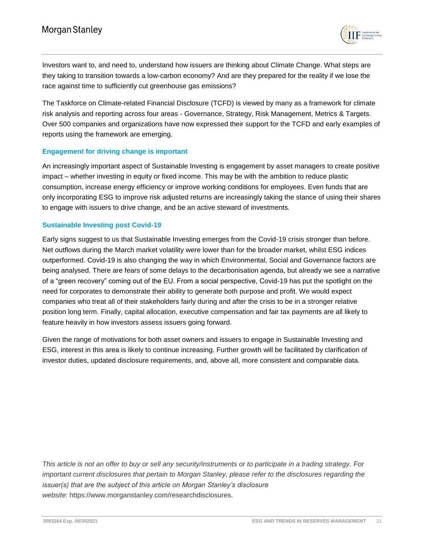

Investors want to, and need to, understand how issuers are thinking about Climate Change. What steps are they taking to transition towards a low-carbon economy? And are they prepared for the reality if we lose the race against time to sufficiently cut greenhouse gas emissions?

The Taskforce on Climate-related Financial Disclosure (TCFD) is viewed by many as a framework for climate risk analysis and reporting across four areas - Governance, Strategy, Risk Management, Metrics & Targets. Over 500 companies and organizations have now expressed their support for the TCFD and early examples of reports using the framework are emerging.

## <span id="page-20-0"></span>**Engagement for driving change is important**

An increasingly important aspect of Sustainable Investing is engagement by asset managers to create positive impact – whether investing in equity or fixed income. This may be with the ambition to reduce plastic consumption, increase energy efficiency or improve working conditions for employees. Even funds that are only incorporating ESG to improve risk adjusted returns are increasingly taking the stance of using their shares to engage with issuers to drive change, and be an active steward of investments.

#### <span id="page-20-1"></span>**Sustainable Investing post Covid-19**

Early signs suggest to us that Sustainable Investing emerges from the Covid-19 crisis stronger than before. Net outflows during the March market volatility were lower than for the broader market, whilst ESG indices outperformed. Covid-19 is also changing the way in which Environmental, Social and Governance factors are being analysed. There are fears of some delays to the decarbonisation agenda, but already we see a narrative of a "green recovery" coming out of the EU. From a social perspective, Covid-19 has put the spotlight on the need for corporates to demonstrate their ability to generate both purpose and profit. We would expect companies who treat all of their stakeholders fairly during and after the crisis to be in a stronger relative position long term. Finally, capital allocation, executive compensation and fair tax payments are all likely to feature heavily in how investors assess issuers going forward.

Given the range of motivations for both asset owners and issuers to engage in Sustainable Investing and ESG, interest in this area is likely to continue increasing. Further growth will be facilitated by clarification of investor duties, updated disclosure requirements, and, above all, more consistent and comparable data.

*This article is not an offer to buy or sell any security/instruments or to participate in a trading strategy. For important current disclosures that pertain to Morgan Stanley, please refer to the disclosures regarding the issuer(s) that are the subject of this article on Morgan Stanley's disclosure website:* https://www.morganstanley.com/researchdisclosures*.*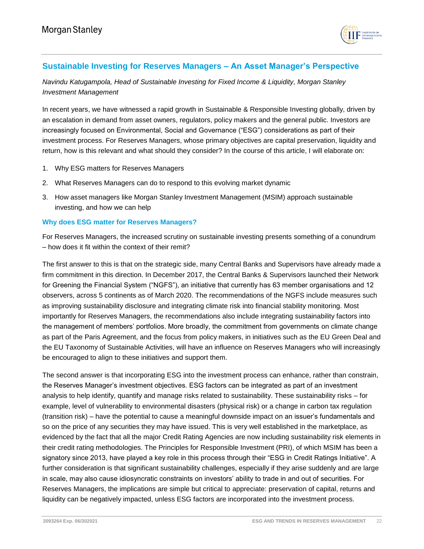

# <span id="page-21-0"></span>**Sustainable Investing for Reserves Managers – An Asset Manager's Perspective**

*Navindu Katugampola, Head of Sustainable Investing for Fixed Income & Liquidity, Morgan Stanley Investment Management*

In recent years, we have witnessed a rapid growth in Sustainable & Responsible Investing globally, driven by an escalation in demand from asset owners, regulators, policy makers and the general public. Investors are increasingly focused on Environmental, Social and Governance ("ESG") considerations as part of their investment process. For Reserves Managers, whose primary objectives are capital preservation, liquidity and return, how is this relevant and what should they consider? In the course of this article, I will elaborate on:

- 1. Why ESG matters for Reserves Managers
- 2. What Reserves Managers can do to respond to this evolving market dynamic
- 3. How asset managers like Morgan Stanley Investment Management (MSIM) approach sustainable investing, and how we can help

#### <span id="page-21-1"></span>**Why does ESG matter for Reserves Managers?**

For Reserves Managers, the increased scrutiny on sustainable investing presents something of a conundrum – how does it fit within the context of their remit?

The first answer to this is that on the strategic side, many Central Banks and Supervisors have already made a firm commitment in this direction. In December 2017, the Central Banks & Supervisors launched their Network for Greening the Financial System ("NGFS"), an initiative that currently has 63 member organisations and 12 observers, across 5 continents as of March 2020. The recommendations of the NGFS include measures such as improving sustainability disclosure and integrating climate risk into financial stability monitoring. Most importantly for Reserves Managers, the recommendations also include integrating sustainability factors into the management of members' portfolios. More broadly, the commitment from governments on climate change as part of the Paris Agreement, and the focus from policy makers, in initiatives such as the EU Green Deal and the EU Taxonomy of Sustainable Activities, will have an influence on Reserves Managers who will increasingly be encouraged to align to these initiatives and support them.

The second answer is that incorporating ESG into the investment process can enhance, rather than constrain, the Reserves Manager's investment objectives. ESG factors can be integrated as part of an investment analysis to help identify, quantify and manage risks related to sustainability. These sustainability risks – for example, level of vulnerability to environmental disasters (physical risk) or a change in carbon tax regulation (transition risk) – have the potential to cause a meaningful downside impact on an issuer's fundamentals and so on the price of any securities they may have issued. This is very well established in the marketplace, as evidenced by the fact that all the major Credit Rating Agencies are now including sustainability risk elements in their credit rating methodologies. The Principles for Responsible Investment (PRI), of which MSIM has been a signatory since 2013, have played a key role in this process through their "ESG in Credit Ratings Initiative". A further consideration is that significant sustainability challenges, especially if they arise suddenly and are large in scale, may also cause idiosyncratic constraints on investors' ability to trade in and out of securities. For Reserves Managers, the implications are simple but critical to appreciate: preservation of capital, returns and liquidity can be negatively impacted, unless ESG factors are incorporated into the investment process.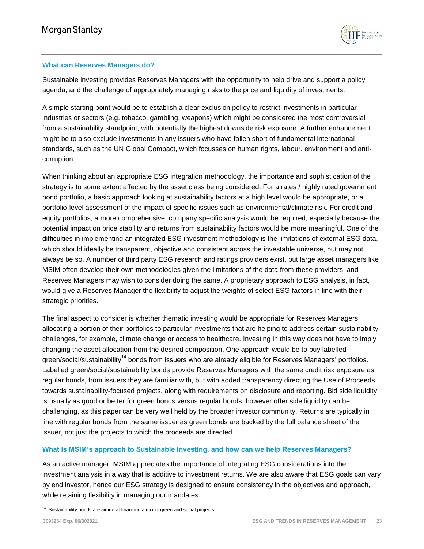

## <span id="page-22-0"></span>**What can Reserves Managers do?**

Sustainable investing provides Reserves Managers with the opportunity to help drive and support a policy agenda, and the challenge of appropriately managing risks to the price and liquidity of investments.

A simple starting point would be to establish a clear exclusion policy to restrict investments in particular industries or sectors (e.g. tobacco, gambling, weapons) which might be considered the most controversial from a sustainability standpoint, with potentially the highest downside risk exposure. A further enhancement might be to also exclude investments in any issuers who have fallen short of fundamental international standards, such as the UN Global Compact, which focusses on human rights, labour, environment and anticorruption.

When thinking about an appropriate ESG integration methodology, the importance and sophistication of the strategy is to some extent affected by the asset class being considered. For a rates / highly rated government bond portfolio, a basic approach looking at sustainability factors at a high level would be appropriate, or a portfolio-level assessment of the impact of specific issues such as environmental/climate risk. For credit and equity portfolios, a more comprehensive, company specific analysis would be required, especially because the potential impact on price stability and returns from sustainability factors would be more meaningful. One of the difficulties in implementing an integrated ESG investment methodology is the limitations of external ESG data, which should ideally be transparent, objective and consistent across the investable universe, but may not always be so. A number of third party ESG research and ratings providers exist, but large asset managers like MSIM often develop their own methodologies given the limitations of the data from these providers, and Reserves Managers may wish to consider doing the same. A proprietary approach to ESG analysis, in fact, would give a Reserves Manager the flexibility to adjust the weights of select ESG factors in line with their strategic priorities.

The final aspect to consider is whether thematic investing would be appropriate for Reserves Managers, allocating a portion of their portfolios to particular investments that are helping to address certain sustainability challenges, for example, climate change or access to healthcare. Investing in this way does not have to imply changing the asset allocation from the desired composition. One approach would be to buy labelled green/social/sustainability<sup>14</sup> bonds from issuers who are already eligible for Reserves Managers' portfolios. Labelled green/social/sustainability bonds provide Reserves Managers with the same credit risk exposure as regular bonds, from issuers they are familiar with, but with added transparency directing the Use of Proceeds towards sustainability-focused projects, along with requirements on disclosure and reporting. Bid side liquidity is usually as good or better for green bonds versus regular bonds, however offer side liquidity can be challenging, as this paper can be very well held by the broader investor community. Returns are typically in line with regular bonds from the same issuer as green bonds are backed by the full balance sheet of the issuer, not just the projects to which the proceeds are directed.

## <span id="page-22-1"></span>**What is MSIM's approach to Sustainable Investing, and how can we help Reserves Managers?**

As an active manager, MSIM appreciates the importance of integrating ESG considerations into the investment analysis in a way that is additive to investment returns. We are also aware that ESG goals can vary by end investor, hence our ESG strategy is designed to ensure consistency in the objectives and approach, while retaining flexibility in managing our mandates.

 14 Sustainability bonds are aimed at financing a mix of green and social projects.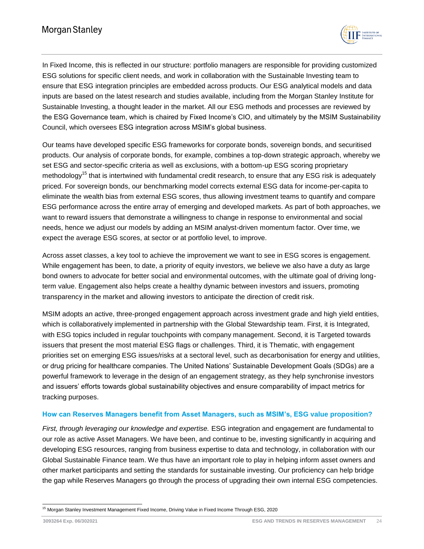

In Fixed Income, this is reflected in our structure: portfolio managers are responsible for providing customized ESG solutions for specific client needs, and work in collaboration with the Sustainable Investing team to ensure that ESG integration principles are embedded across products. Our ESG analytical models and data inputs are based on the latest research and studies available, including from the Morgan Stanley Institute for Sustainable Investing, a thought leader in the market. All our ESG methods and processes are reviewed by the ESG Governance team, which is chaired by Fixed Income's CIO, and ultimately by the MSIM Sustainability Council, which oversees ESG integration across MSIM's global business.

Our teams have developed specific ESG frameworks for corporate bonds, sovereign bonds, and securitised products. Our analysis of corporate bonds, for example, combines a top-down strategic approach, whereby we set ESG and sector-specific criteria as well as exclusions, with a bottom-up ESG scoring proprietary methodology<sup>15</sup> that is intertwined with fundamental credit research, to ensure that any ESG risk is adequately priced. For sovereign bonds, our benchmarking model corrects external ESG data for income-per-capita to eliminate the wealth bias from external ESG scores, thus allowing investment teams to quantify and compare ESG performance across the entire array of emerging and developed markets. As part of both approaches, we want to reward issuers that demonstrate a willingness to change in response to environmental and social needs, hence we adjust our models by adding an MSIM analyst-driven momentum factor. Over time, we expect the average ESG scores, at sector or at portfolio level, to improve.

Across asset classes, a key tool to achieve the improvement we want to see in ESG scores is engagement. While engagement has been, to date, a priority of equity investors, we believe we also have a duty as large bond owners to advocate for better social and environmental outcomes, with the ultimate goal of driving longterm value. Engagement also helps create a healthy dynamic between investors and issuers, promoting transparency in the market and allowing investors to anticipate the direction of credit risk.

MSIM adopts an active, three-pronged engagement approach across investment grade and high yield entities, which is collaboratively implemented in partnership with the Global Stewardship team. First, it is Integrated, with ESG topics included in regular touchpoints with company management. Second, it is Targeted towards issuers that present the most material ESG flags or challenges. Third, it is Thematic, with engagement priorities set on emerging ESG issues/risks at a sectoral level, such as decarbonisation for energy and utilities, or drug pricing for healthcare companies. The United Nations' Sustainable Development Goals (SDGs) are a powerful framework to leverage in the design of an engagement strategy, as they help synchronise investors and issuers' efforts towards global sustainability objectives and ensure comparability of impact metrics for tracking purposes.

## <span id="page-23-0"></span>**How can Reserves Managers benefit from Asset Managers, such as MSIM's, ESG value proposition?**

*First, through leveraging our knowledge and expertise.* ESG integration and engagement are fundamental to our role as active Asset Managers. We have been, and continue to be, investing significantly in acquiring and developing ESG resources, ranging from business expertise to data and technology, in collaboration with our Global Sustainable Finance team. We thus have an important role to play in helping inform asset owners and other market participants and setting the standards for sustainable investing. Our proficiency can help bridge the gap while Reserves Managers go through the process of upgrading their own internal ESG competencies.

l <sup>15</sup> Morgan Stanley Investment Management Fixed Income, Driving Value in Fixed Income Through ESG, 2020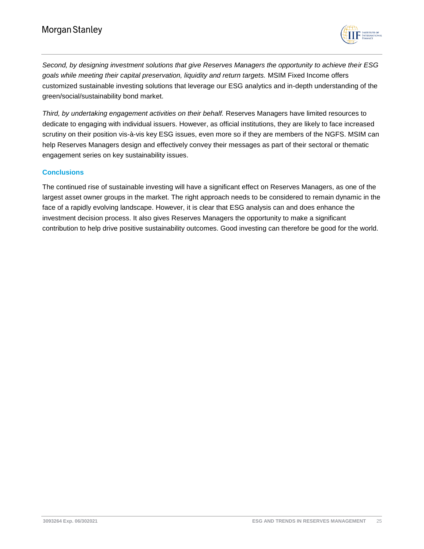

*Second, by designing investment solutions that give Reserves Managers the opportunity to achieve their ESG goals while meeting their capital preservation, liquidity and return targets.* MSIM Fixed Income offers customized sustainable investing solutions that leverage our ESG analytics and in-depth understanding of the green/social/sustainability bond market.

*Third, by undertaking engagement activities on their behalf.* Reserves Managers have limited resources to dedicate to engaging with individual issuers. However, as official institutions, they are likely to face increased scrutiny on their position vis-à-vis key ESG issues, even more so if they are members of the NGFS. MSIM can help Reserves Managers design and effectively convey their messages as part of their sectoral or thematic engagement series on key sustainability issues.

## <span id="page-24-0"></span>**Conclusions**

The continued rise of sustainable investing will have a significant effect on Reserves Managers, as one of the largest asset owner groups in the market. The right approach needs to be considered to remain dynamic in the face of a rapidly evolving landscape. However, it is clear that ESG analysis can and does enhance the investment decision process. It also gives Reserves Managers the opportunity to make a significant contribution to help drive positive sustainability outcomes. Good investing can therefore be good for the world.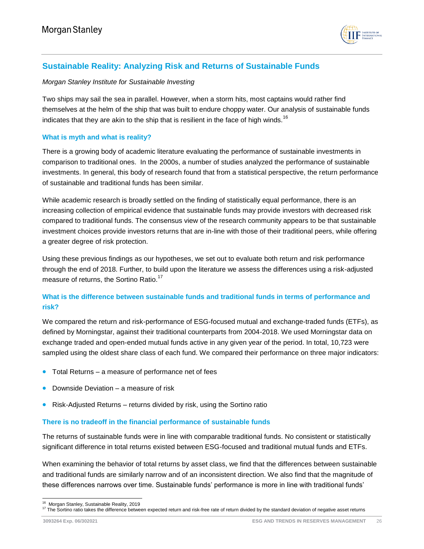

# <span id="page-25-0"></span>**Sustainable Reality: Analyzing Risk and Returns of Sustainable Funds**

#### *Morgan Stanley Institute for Sustainable Investing*

Two ships may sail the sea in parallel. However, when a storm hits, most captains would rather find themselves at the helm of the ship that was built to endure choppy water. Our analysis of sustainable funds indicates that they are akin to the ship that is resilient in the face of high winds.<sup>16</sup>

## <span id="page-25-1"></span>**What is myth and what is reality?**

There is a growing body of academic literature evaluating the performance of sustainable investments in comparison to traditional ones. In the 2000s, a number of studies analyzed the performance of sustainable investments. In general, this body of research found that from a statistical perspective, the return performance of sustainable and traditional funds has been similar.

While academic research is broadly settled on the finding of statistically equal performance, there is an increasing collection of empirical evidence that sustainable funds may provide investors with decreased risk compared to traditional funds. The consensus view of the research community appears to be that sustainable investment choices provide investors returns that are in-line with those of their traditional peers, while offering a greater degree of risk protection.

Using these previous findings as our hypotheses, we set out to evaluate both return and risk performance through the end of 2018. Further, to build upon the literature we assess the differences using a risk-adjusted measure of returns, the Sortino Ratio.<sup>17</sup>

## <span id="page-25-2"></span>**What is the difference between sustainable funds and traditional funds in terms of performance and risk?**

We compared the return and risk-performance of ESG-focused mutual and exchange-traded funds (ETFs), as defined by Morningstar, against their traditional counterparts from 2004-2018. We used Morningstar data on exchange traded and open-ended mutual funds active in any given year of the period. In total, 10,723 were sampled using the oldest share class of each fund. We compared their performance on three major indicators:

- Total Returns a measure of performance net of fees
- Downside Deviation a measure of risk
- Risk-Adjusted Returns returns divided by risk, using the Sortino ratio

## <span id="page-25-3"></span>**There is no tradeoff in the financial performance of sustainable funds**

The returns of sustainable funds were in line with comparable traditional funds. No consistent or statistically significant difference in total returns existed between ESG-focused and traditional mutual funds and ETFs.

When examining the behavior of total returns by asset class, we find that the differences between sustainable and traditional funds are similarly narrow and of an inconsistent direction. We also find that the magnitude of these differences narrows over time. Sustainable funds' performance is more in line with traditional funds'

<sup>&</sup>lt;sup>16</sup> Morgan Stanley, Sustainable Reality, 2019

<sup>&</sup>lt;sup>17</sup> The Sortino ratio takes the difference between expected return and risk-free rate of return divided by the standard deviation of negative asset returns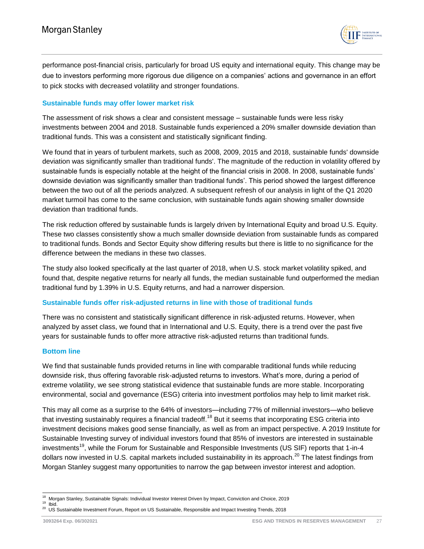

performance post-financial crisis, particularly for broad US equity and international equity. This change may be due to investors performing more rigorous due diligence on a companies' actions and governance in an effort to pick stocks with decreased volatility and stronger foundations.

#### <span id="page-26-0"></span>**Sustainable funds may offer lower market risk**

The assessment of risk shows a clear and consistent message – sustainable funds were less risky investments between 2004 and 2018. Sustainable funds experienced a 20% smaller downside deviation than traditional funds. This was a consistent and statistically significant finding.

We found that in years of turbulent markets, such as 2008, 2009, 2015 and 2018, sustainable funds' downside deviation was significantly smaller than traditional funds'. The magnitude of the reduction in volatility offered by sustainable funds is especially notable at the height of the financial crisis in 2008. In 2008, sustainable funds' downside deviation was significantly smaller than traditional funds'. This period showed the largest difference between the two out of all the periods analyzed. A subsequent refresh of our analysis in light of the Q1 2020 market turmoil has come to the same conclusion, with sustainable funds again showing smaller downside deviation than traditional funds.

The risk reduction offered by sustainable funds is largely driven by International Equity and broad U.S. Equity. These two classes consistently show a much smaller downside deviation from sustainable funds as compared to traditional funds. Bonds and Sector Equity show differing results but there is little to no significance for the difference between the medians in these two classes.

The study also looked specifically at the last quarter of 2018, when U.S. stock market volatility spiked, and found that, despite negative returns for nearly all funds, the median sustainable fund outperformed the median traditional fund by 1.39% in U.S. Equity returns, and had a narrower dispersion.

## <span id="page-26-1"></span>**Sustainable funds offer risk-adjusted returns in line with those of traditional funds**

There was no consistent and statistically significant difference in risk-adjusted returns. However, when analyzed by asset class, we found that in International and U.S. Equity, there is a trend over the past five years for sustainable funds to offer more attractive risk-adjusted returns than traditional funds.

#### <span id="page-26-2"></span>**Bottom line**

We find that sustainable funds provided returns in line with comparable traditional funds while reducing downside risk, thus offering favorable risk-adjusted returns to investors. What's more, during a period of extreme volatility, we see strong statistical evidence that sustainable funds are more stable. Incorporating environmental, social and governance (ESG) criteria into investment portfolios may help to limit market risk.

This may all come as a surprise to the 64% of investors—including 77% of millennial investors—who believe that investing sustainably requires a financial tradeoff.<sup>18</sup> But it seems that incorporating ESG criteria into investment decisions makes good sense financially, as well as from an impact perspective. A 2019 Institute for Sustainable Investing survey of individual investors found that 85% of investors are interested in sustainable investments<sup>19</sup>, while the Forum for Sustainable and Responsible Investments (US SIF) reports that 1-in-4 dollars now invested in U.S. capital markets included sustainability in its approach.<sup>20</sup> The latest findings from Morgan Stanley suggest many opportunities to narrow the gap between investor interest and adoption.

l

<sup>18</sup> Morgan Stanley, Sustainable Signals: Individual Investor Interest Driven by Impact, Conviction and Choice, 2019 <sup>19</sup> Ibid.

<sup>20</sup> US Sustainable Investment Forum, Report on US Sustainable, Responsible and Impact Investing Trends, 2018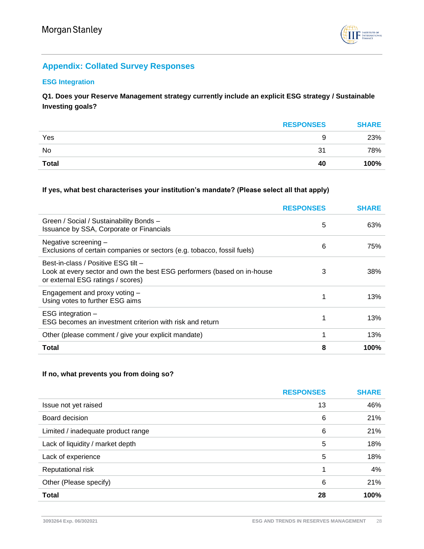

# <span id="page-27-0"></span>**Appendix: Collated Survey Responses**

## <span id="page-27-1"></span>**ESG Integration**

**Q1. Does your Reserve Management strategy currently include an explicit ESG strategy / Sustainable Investing goals?**

|              | <b>RESPONSES</b> | <b>SHARE</b> |
|--------------|------------------|--------------|
| Yes          |                  | 23%          |
| No           | 31               | 78%          |
| <b>Total</b> | 40               | 100%         |

## **If yes, what best characterises your institution's mandate? (Please select all that apply)**

|                                                                                                                                                     | <b>RESPONSES</b> | <b>SHARE</b> |
|-----------------------------------------------------------------------------------------------------------------------------------------------------|------------------|--------------|
| Green / Social / Sustainability Bonds -<br>Issuance by SSA, Corporate or Financials                                                                 | 5                | 63%          |
| Negative screening -<br>Exclusions of certain companies or sectors (e.g. tobacco, fossil fuels)                                                     | 6                | 75%          |
| Best-in-class / Positive ESG tilt -<br>Look at every sector and own the best ESG performers (based on in-house<br>or external ESG ratings / scores) | 3                | 38%          |
| Engagement and proxy voting -<br>Using votes to further ESG aims                                                                                    | 1                | 13%          |
| ESG integration -<br>ESG becomes an investment criterion with risk and return                                                                       | 1                | 13%          |
| Other (please comment / give your explicit mandate)                                                                                                 | 1                | 13%          |
| <b>Total</b>                                                                                                                                        | 8                | 100%         |

## **If no, what prevents you from doing so?**

|                                    | <b>RESPONSES</b> | <b>SHARE</b> |
|------------------------------------|------------------|--------------|
| Issue not yet raised               | 13               | 46%          |
| Board decision                     | 6                | 21%          |
| Limited / inadequate product range | 6                | 21%          |
| Lack of liquidity / market depth   | 5                | 18%          |
| Lack of experience                 | 5                | 18%          |
| Reputational risk                  |                  | 4%           |
| Other (Please specify)             | 6                | 21%          |
| <b>Total</b>                       | 28               | 100%         |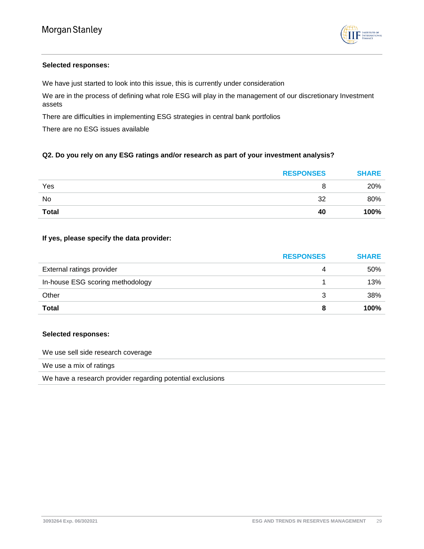

#### **Selected responses:**

We have just started to look into this issue, this is currently under consideration

We are in the process of defining what role ESG will play in the management of our discretionary Investment assets

There are difficulties in implementing ESG strategies in central bank portfolios

There are no ESG issues available

## **Q2. Do you rely on any ESG ratings and/or research as part of your investment analysis?**

|              | <b>RESPONSES</b> | <b>SHARE</b> |
|--------------|------------------|--------------|
| Yes          |                  | 20%          |
| No           | 32               | 80%          |
| <b>Total</b> | 40               | 100%         |

#### **If yes, please specify the data provider:**

|                                  | <b>RESPONSES</b> | <b>SHARE</b> |
|----------------------------------|------------------|--------------|
| External ratings provider        |                  | 50%          |
| In-house ESG scoring methodology |                  | 13%          |
| Other                            |                  | 38%          |
| <b>Total</b>                     | 8                | 100%         |

#### **Selected responses:**

We use sell side research coverage

We use a mix of ratings

We have a research provider regarding potential exclusions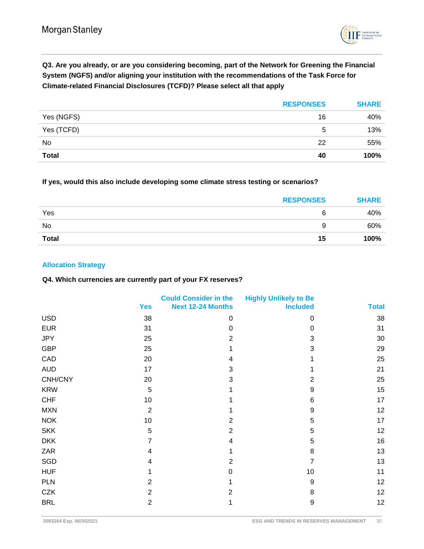

**Q3. Are you already, or are you considering becoming, part of the Network for Greening the Financial System (NGFS) and/or aligning your institution with the recommendations of the Task Force for Climate-related Financial Disclosures (TCFD)? Please select all that apply**

|              | <b>RESPONSES</b> | <b>SHARE</b> |
|--------------|------------------|--------------|
| Yes (NGFS)   | 16               | 40%          |
| Yes (TCFD)   | 5                | 13%          |
| No           | 22               | 55%          |
| <b>Total</b> | 40               | 100%         |

**If yes, would this also include developing some climate stress testing or scenarios?**

|              | <b>RESPONSES</b> | <b>SHARE</b> |
|--------------|------------------|--------------|
| Yes          | 6                | 40%          |
| No           | Q                | 60%          |
| <b>Total</b> | 15               | 100%         |

## <span id="page-29-0"></span>**Allocation Strategy**

#### **Q4. Which currencies are currently part of your FX reserves?**

|            | <b>Yes</b>     | <b>Could Consider in the</b><br><b>Next 12-24 Months</b> | <b>Highly Unlikely to Be</b><br><b>Included</b> | <b>Total</b> |
|------------|----------------|----------------------------------------------------------|-------------------------------------------------|--------------|
| <b>USD</b> | 38             | 0                                                        | 0                                               | 38           |
| <b>EUR</b> | 31             | 0                                                        | 0                                               | 31           |
| <b>JPY</b> | 25             | $\overline{2}$                                           | 3                                               | 30           |
| <b>GBP</b> | 25             |                                                          | 3                                               | 29           |
| CAD        | 20             | 4                                                        |                                                 | 25           |
| <b>AUD</b> | 17             | 3                                                        |                                                 | 21           |
| CNH/CNY    | 20             | 3                                                        | $\overline{2}$                                  | 25           |
| <b>KRW</b> | $\sqrt{5}$     |                                                          | 9                                               | 15           |
| <b>CHF</b> | 10             |                                                          | 6                                               | 17           |
| <b>MXN</b> | 2              |                                                          | 9                                               | 12           |
| <b>NOK</b> | 10             | 2                                                        | 5                                               | 17           |
| <b>SKK</b> | $\sqrt{5}$     | $\overline{2}$                                           | 5                                               | 12           |
| <b>DKK</b> | 7              | $\overline{\mathbf{4}}$                                  | 5                                               | 16           |
| ZAR        | 4              | 1                                                        | 8                                               | 13           |
| SGD        | 4              | $\overline{2}$                                           | 7                                               | 13           |
| <b>HUF</b> | 1              | 0                                                        | 10                                              | 11           |
| <b>PLN</b> | 2              | 1                                                        | 9                                               | 12           |
| <b>CZK</b> | $\overline{2}$ | $\overline{2}$                                           | 8                                               | 12           |
| <b>BRL</b> | $\overline{2}$ | 1                                                        | $9$                                             | 12           |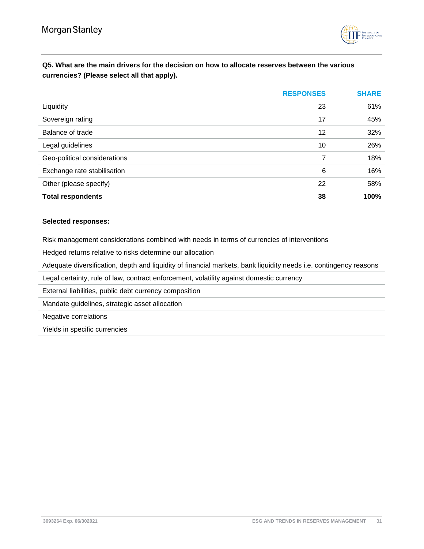

# **Q5. What are the main drivers for the decision on how to allocate reserves between the various currencies? (Please select all that apply).**

|                              | <b>RESPONSES</b> | <b>SHARE</b> |
|------------------------------|------------------|--------------|
| Liquidity                    | 23               | 61%          |
| Sovereign rating             | 17               | 45%          |
| Balance of trade             | 12               | 32%          |
| Legal guidelines             | 10               | 26%          |
| Geo-political considerations | 7                | 18%          |
| Exchange rate stabilisation  | 6                | 16%          |
| Other (please specify)       | 22               | 58%          |
| <b>Total respondents</b>     | 38               | 100%         |

#### **Selected responses:**

Risk management considerations combined with needs in terms of currencies of interventions

Hedged returns relative to risks determine our allocation

Adequate diversification, depth and liquidity of financial markets, bank liquidity needs i.e. contingency reasons

Legal certainty, rule of law, contract enforcement, volatility against domestic currency

External liabilities, public debt currency composition

Mandate guidelines, strategic asset allocation

Negative correlations

Yields in specific currencies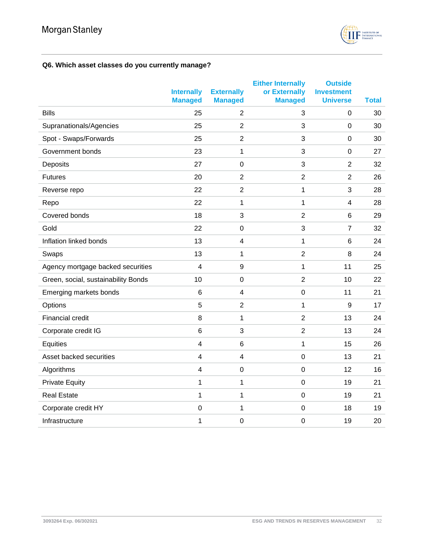

# **Q6. Which asset classes do you currently manage?**

|                                     | <b>Internally</b>       | <b>Externally</b>       | <b>Either Internally</b><br>or Externally | <b>Outside</b><br><b>Investment</b> |              |
|-------------------------------------|-------------------------|-------------------------|-------------------------------------------|-------------------------------------|--------------|
|                                     | <b>Managed</b>          | <b>Managed</b>          | <b>Managed</b>                            | <b>Universe</b>                     | <b>Total</b> |
| <b>Bills</b>                        | 25                      | 2                       | 3                                         | $\mathbf 0$                         | 30           |
| Supranationals/Agencies             | 25                      | $\overline{2}$          | 3                                         | $\mathbf 0$                         | 30           |
| Spot - Swaps/Forwards               | 25                      | $\overline{2}$          | 3                                         | $\mathbf 0$                         | 30           |
| Government bonds                    | 23                      | 1                       | 3                                         | $\mathbf 0$                         | 27           |
| Deposits                            | 27                      | $\boldsymbol{0}$        | 3                                         | $\overline{2}$                      | 32           |
| <b>Futures</b>                      | 20                      | $\overline{2}$          | $\overline{2}$                            | $\overline{2}$                      | 26           |
| Reverse repo                        | 22                      | $\overline{2}$          | 1                                         | 3                                   | 28           |
| Repo                                | 22                      | 1                       | 1                                         | $\overline{4}$                      | 28           |
| Covered bonds                       | 18                      | 3                       | $\overline{2}$                            | $\,6$                               | 29           |
| Gold                                | 22                      | $\mathbf 0$             | 3                                         | $\overline{7}$                      | 32           |
| Inflation linked bonds              | 13                      | $\overline{\mathbf{4}}$ | 1                                         | $6\phantom{1}6$                     | 24           |
| Swaps                               | 13                      | 1                       | $\overline{2}$                            | 8                                   | 24           |
| Agency mortgage backed securities   | 4                       | 9                       | 1                                         | 11                                  | 25           |
| Green, social, sustainability Bonds | 10                      | $\boldsymbol{0}$        | $\overline{2}$                            | 10                                  | 22           |
| Emerging markets bonds              | $6\phantom{1}6$         | $\overline{\mathbf{4}}$ | $\mathbf 0$                               | 11                                  | 21           |
| Options                             | 5                       | $\overline{2}$          | 1                                         | 9                                   | 17           |
| <b>Financial credit</b>             | 8                       | 1                       | $\overline{2}$                            | 13                                  | 24           |
| Corporate credit IG                 | $6\phantom{1}6$         | 3                       | $\overline{2}$                            | 13                                  | 24           |
| Equities                            | $\overline{\mathbf{4}}$ | 6                       | 1                                         | 15                                  | 26           |
| Asset backed securities             | $\overline{\mathbf{4}}$ | $\overline{\mathbf{4}}$ | $\mathbf 0$                               | 13                                  | 21           |
| Algorithms                          | 4                       | $\boldsymbol{0}$        | $\mathbf 0$                               | 12                                  | 16           |
| <b>Private Equity</b>               | 1                       | 1                       | $\mathbf 0$                               | 19                                  | 21           |
| <b>Real Estate</b>                  | 1                       | 1                       | $\boldsymbol{0}$                          | 19                                  | 21           |
| Corporate credit HY                 | $\boldsymbol{0}$        | 1                       | $\boldsymbol{0}$                          | 18                                  | 19           |
| Infrastructure                      | 1                       | $\mathbf 0$             | $\boldsymbol{0}$                          | 19                                  | 20           |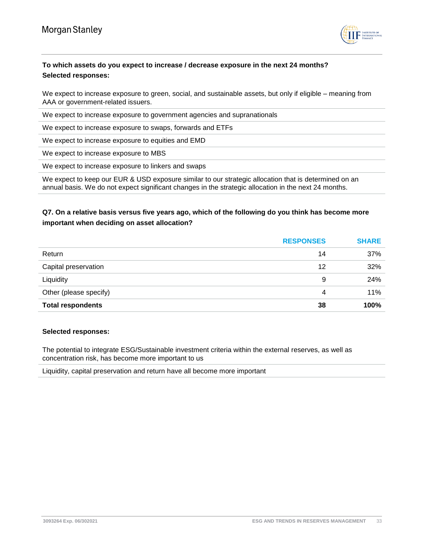

# **To which assets do you expect to increase / decrease exposure in the next 24 months? Selected responses:**

We expect to increase exposure to green, social, and sustainable assets, but only if eligible – meaning from AAA or government-related issuers.

We expect to increase exposure to government agencies and supranationals

We expect to increase exposure to swaps, forwards and ETFs

We expect to increase exposure to equities and EMD

We expect to increase exposure to MBS

We expect to increase exposure to linkers and swaps

We expect to keep our EUR & USD exposure similar to our strategic allocation that is determined on an annual basis. We do not expect significant changes in the strategic allocation in the next 24 months.

# **Q7. On a relative basis versus five years ago, which of the following do you think has become more important when deciding on asset allocation?**

|                          | <b>RESPONSES</b> | <b>SHARE</b> |
|--------------------------|------------------|--------------|
| Return                   | 14               | 37%          |
| Capital preservation     | 12               | 32%          |
| Liquidity                | 9                | 24%          |
| Other (please specify)   | 4                | 11%          |
| <b>Total respondents</b> | 38               | 100%         |

#### **Selected responses:**

The potential to integrate ESG/Sustainable investment criteria within the external reserves, as well as concentration risk, has become more important to us

Liquidity, capital preservation and return have all become more important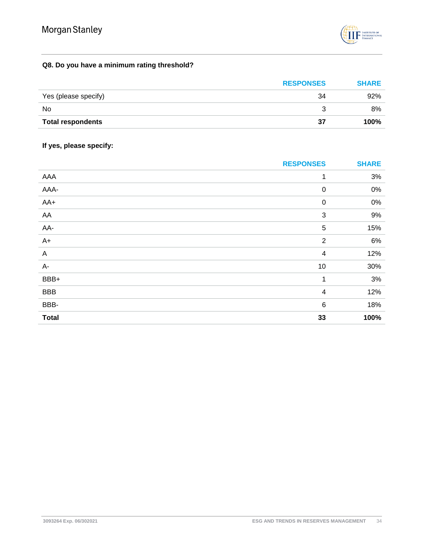

# **Q8. Do you have a minimum rating threshold?**

|                          | <b>RESPONSES</b> | <b>SHARE</b> |
|--------------------------|------------------|--------------|
| Yes (please specify)     | 34               | 92%          |
| No                       |                  | 8%           |
| <b>Total respondents</b> | 37               | 100%         |

# **If yes, please specify:**

|              | <b>RESPONSES</b>        | <b>SHARE</b> |
|--------------|-------------------------|--------------|
| AAA          | 1                       | $3%$         |
| AAA-         | $\boldsymbol{0}$        | $0\%$        |
| AA+          | $\pmb{0}$               | $0\%$        |
| AA           | 3                       | 9%           |
| AA-          | 5                       | 15%          |
| $A+$         | $\overline{2}$          | 6%           |
| $\mathsf A$  | $\overline{4}$          | 12%          |
| A-           | 10                      | 30%          |
| BBB+         | 1                       | 3%           |
| <b>BBB</b>   | $\overline{\mathbf{4}}$ | 12%          |
| BBB-         | $\,6$                   | 18%          |
| <b>Total</b> | 33                      | 100%         |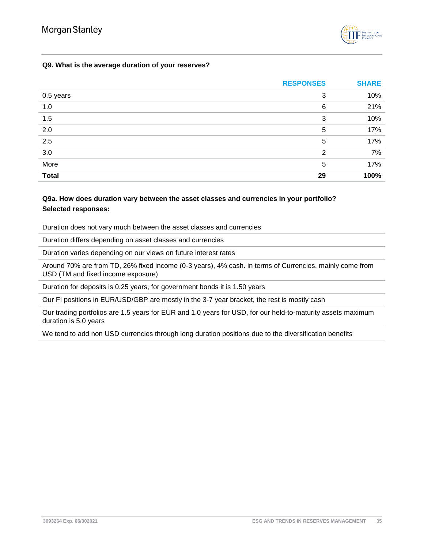

## **Q9. What is the average duration of your reserves?**

|              | <b>RESPONSES</b> | <b>SHARE</b> |
|--------------|------------------|--------------|
| 0.5 years    | 3                | 10%          |
| 1.0          | 6                | 21%          |
| 1.5          | 3                | 10%          |
| 2.0          | 5                | 17%          |
| 2.5          | 5                | 17%          |
| 3.0          | 2                | 7%           |
| More         | 5                | 17%          |
| <b>Total</b> | 29               | 100%         |

## **Q9a. How does duration vary between the asset classes and currencies in your portfolio? Selected responses:**

Duration does not vary much between the asset classes and currencies

Duration differs depending on asset classes and currencies

Duration varies depending on our views on future interest rates

Around 70% are from TD, 26% fixed income (0-3 years), 4% cash. in terms of Currencies, mainly come from USD (TM and fixed income exposure)

Duration for deposits is 0.25 years, for government bonds it is 1.50 years

Our FI positions in EUR/USD/GBP are mostly in the 3-7 year bracket, the rest is mostly cash

Our trading portfolios are 1.5 years for EUR and 1.0 years for USD, for our held-to-maturity assets maximum duration is 5.0 years

We tend to add non USD currencies through long duration positions due to the diversification benefits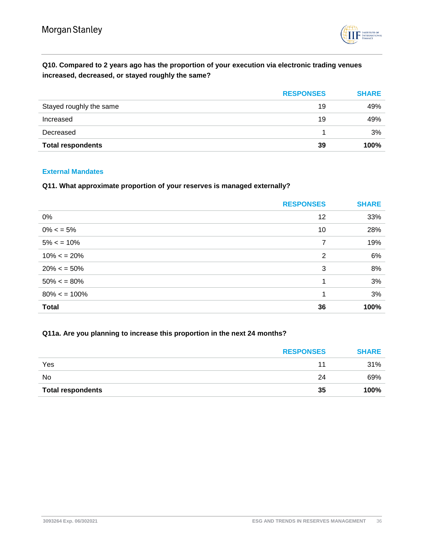

# **Q10. Compared to 2 years ago has the proportion of your execution via electronic trading venues increased, decreased, or stayed roughly the same?**

|                          | <b>RESPONSES</b> | <b>SHARE</b> |
|--------------------------|------------------|--------------|
| Stayed roughly the same  | 19               | 49%          |
| Increased                | 19               | 49%          |
| Decreased                |                  | 3%           |
| <b>Total respondents</b> | 39               | 100%         |

#### <span id="page-35-0"></span>**External Mandates**

#### **Q11. What approximate proportion of your reserves is managed externally?**

|                | <b>RESPONSES</b> | <b>SHARE</b> |
|----------------|------------------|--------------|
| 0%             | 12               | 33%          |
| $0\% < 5\%$    | 10               | 28%          |
| $5\% < 10\%$   | 7                | 19%          |
| $10\% < 20\%$  | $\overline{2}$   | 6%           |
| $20\% < 50\%$  | 3                | 8%           |
| $50\% < 80\%$  |                  | 3%           |
| $80\% < 100\%$ |                  | 3%           |
| <b>Total</b>   | 36               | 100%         |

## **Q11a. Are you planning to increase this proportion in the next 24 months?**

|                          | <b>RESPONSES</b> | <b>SHARE</b> |
|--------------------------|------------------|--------------|
| Yes                      |                  | 31%          |
| No                       | 24               | 69%          |
| <b>Total respondents</b> | 35               | 100%         |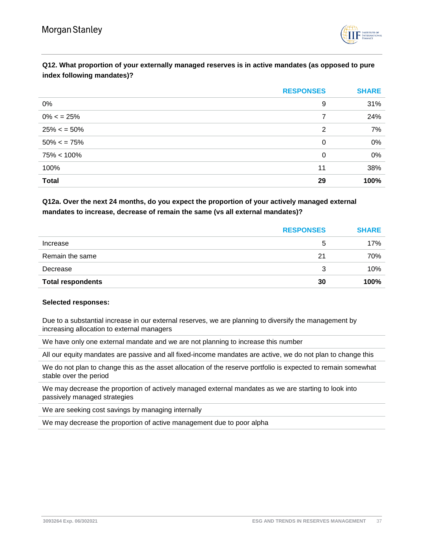

# **Q12. What proportion of your externally managed reserves is in active mandates (as opposed to pure index following mandates)?**

|                | <b>RESPONSES</b> | <b>SHARE</b> |
|----------------|------------------|--------------|
| 0%             | 9                | 31%          |
| $0\% < 25\%$   | 7                | 24%          |
| $25\% < 50\%$  | 2                | 7%           |
| $50\% < 75\%$  | 0                | 0%           |
| $75\% < 100\%$ | 0                | 0%           |
| 100%           | 11               | 38%          |
| <b>Total</b>   | 29               | 100%         |

## **Q12a. Over the next 24 months, do you expect the proportion of your actively managed external mandates to increase, decrease of remain the same (vs all external mandates)?**

|                          | <b>RESPONSES</b> | <b>SHARE</b> |
|--------------------------|------------------|--------------|
| Increase                 | 5                | 17%          |
| Remain the same          | 21               | 70%          |
| Decrease                 | 3                | 10%          |
| <b>Total respondents</b> | 30               | 100%         |

#### **Selected responses:**

Due to a substantial increase in our external reserves, we are planning to diversify the management by increasing allocation to external managers

We have only one external mandate and we are not planning to increase this number

All our equity mandates are passive and all fixed-income mandates are active, we do not plan to change this

We do not plan to change this as the asset allocation of the reserve portfolio is expected to remain somewhat stable over the period

We may decrease the proportion of actively managed external mandates as we are starting to look into passively managed strategies

We are seeking cost savings by managing internally

We may decrease the proportion of active management due to poor alpha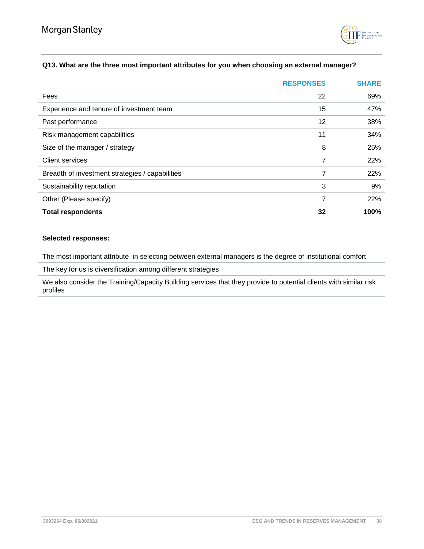

## **Q13. What are the three most important attributes for you when choosing an external manager?**

|                                                 | <b>RESPONSES</b> | <b>SHARE</b> |
|-------------------------------------------------|------------------|--------------|
| Fees                                            | 22               | 69%          |
| Experience and tenure of investment team        | 15               | 47%          |
| Past performance                                | 12               | 38%          |
| Risk management capabilities                    | 11               | 34%          |
| Size of the manager / strategy                  | 8                | 25%          |
| <b>Client services</b>                          | 7                | 22%          |
| Breadth of investment strategies / capabilities | 7                | 22%          |
| Sustainability reputation                       | 3                | 9%           |
| Other (Please specify)                          | 7                | 22%          |
| <b>Total respondents</b>                        | 32               | 100%         |

#### **Selected responses:**

The most important attribute in selecting between external managers is the degree of institutional comfort

The key for us is diversification among different strategies

We also consider the Training/Capacity Building services that they provide to potential clients with similar risk profiles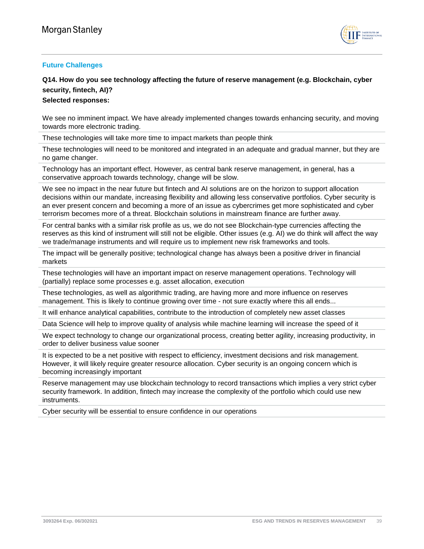

## <span id="page-38-0"></span>**Future Challenges**

# **Q14. How do you see technology affecting the future of reserve management (e.g. Blockchain, cyber security, fintech, AI)?**

**Selected responses:**

We see no imminent impact. We have already implemented changes towards enhancing security, and moving towards more electronic trading.

These technologies will take more time to impact markets than people think

These technologies will need to be monitored and integrated in an adequate and gradual manner, but they are no game changer.

Technology has an important effect. However, as central bank reserve management, in general, has a conservative approach towards technology, change will be slow.

We see no impact in the near future but fintech and AI solutions are on the horizon to support allocation decisions within our mandate, increasing flexibility and allowing less conservative portfolios. Cyber security is an ever present concern and becoming a more of an issue as cybercrimes get more sophisticated and cyber terrorism becomes more of a threat. Blockchain solutions in mainstream finance are further away.

For central banks with a similar risk profile as us, we do not see Blockchain-type currencies affecting the reserves as this kind of instrument will still not be eligible. Other issues (e.g. AI) we do think will affect the way we trade/manage instruments and will require us to implement new risk frameworks and tools.

The impact will be generally positive; technological change has always been a positive driver in financial markets

These technologies will have an important impact on reserve management operations. Technology will (partially) replace some processes e.g. asset allocation, execution

These technologies, as well as algorithmic trading, are having more and more influence on reserves management. This is likely to continue growing over time - not sure exactly where this all ends...

It will enhance analytical capabilities, contribute to the introduction of completely new asset classes

Data Science will help to improve quality of analysis while machine learning will increase the speed of it

We expect technology to change our organizational process, creating better agility, increasing productivity, in order to deliver business value sooner

It is expected to be a net positive with respect to efficiency, investment decisions and risk management. However, it will likely require greater resource allocation. Cyber security is an ongoing concern which is becoming increasingly important

Reserve management may use blockchain technology to record transactions which implies a very strict cyber security framework. In addition, fintech may increase the complexity of the portfolio which could use new instruments.

Cyber security will be essential to ensure confidence in our operations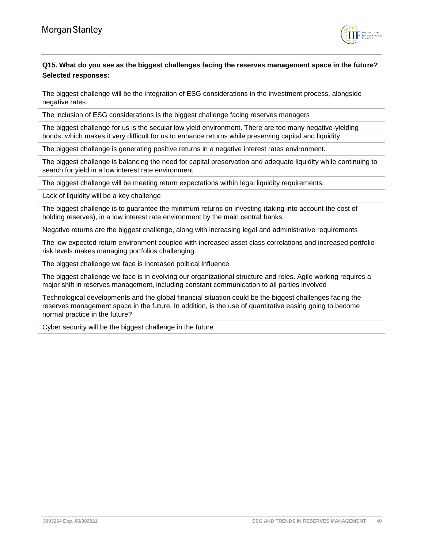

# **Q15. What do you see as the biggest challenges facing the reserves management space in the future? Selected responses:**

The biggest challenge will be the integration of ESG considerations in the investment process, alongside negative rates.

The inclusion of ESG considerations is the biggest challenge facing reserves managers

The biggest challenge for us is the secular low yield environment. There are too many negative-yielding bonds, which makes it very difficult for us to enhance returns while preserving capital and liquidity

The biggest challenge is generating positive returns in a negative interest rates environment.

The biggest challenge is balancing the need for capital preservation and adequate liquidity while continuing to search for yield in a low interest rate environment

The biggest challenge will be meeting return expectations within legal liquidity requirements.

Lack of liquidity will be a key challenge

The biggest challenge is to guarantee the minimum returns on investing (taking into account the cost of holding reserves), in a low interest rate environment by the main central banks.

Negative returns are the biggest challenge, along with increasing legal and administrative requirements

The low expected return environment coupled with increased asset class correlations and increased portfolio risk levels makes managing portfolios challenging.

The biggest challenge we face is increased political influence

The biggest challenge we face is in evolving our organizational structure and roles. Agile working requires a major shift in reserves management, including constant communication to all parties involved

Technological developments and the global financial situation could be the biggest challenges facing the reserves management space in the future. In addition, is the use of quantitative easing going to become normal practice in the future?

Cyber security will be the biggest challenge in the future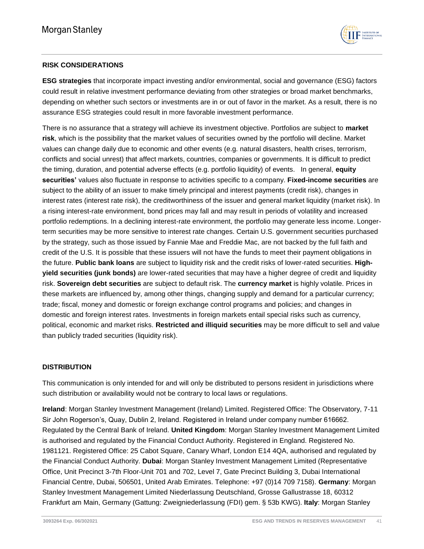

## **RISK CONSIDERATIONS**

**ESG strategies** that incorporate impact investing and/or environmental, social and governance (ESG) factors could result in relative investment performance deviating from other strategies or broad market benchmarks, depending on whether such sectors or investments are in or out of favor in the market. As a result, there is no assurance ESG strategies could result in more favorable investment performance.

There is no assurance that a strategy will achieve its investment objective. Portfolios are subject to **market risk**, which is the possibility that the market values of securities owned by the portfolio will decline. Market values can change daily due to economic and other events (e.g. natural disasters, health crises, terrorism, conflicts and social unrest) that affect markets, countries, companies or governments. It is difficult to predict the timing, duration, and potential adverse effects (e.g. portfolio liquidity) of events. In general, **equity securities'** values also fluctuate in response to activities specific to a company. **Fixed-income securities** are subject to the ability of an issuer to make timely principal and interest payments (credit risk), changes in interest rates (interest rate risk), the creditworthiness of the issuer and general market liquidity (market risk). In a rising interest-rate environment, bond prices may fall and may result in periods of volatility and increased portfolio redemptions. In a declining interest-rate environment, the portfolio may generate less income. Longerterm securities may be more sensitive to interest rate changes. Certain U.S. government securities purchased by the strategy, such as those issued by Fannie Mae and Freddie Mac, are not backed by the full faith and credit of the U.S. It is possible that these issuers will not have the funds to meet their payment obligations in the future. **Public bank loans** are subject to liquidity risk and the credit risks of lower-rated securities. **Highyield securities (junk bonds)** are lower-rated securities that may have a higher degree of credit and liquidity risk. **Sovereign debt securities** are subject to default risk. The **currency market** is highly volatile. Prices in these markets are influenced by, among other things, changing supply and demand for a particular currency; trade; fiscal, money and domestic or foreign exchange control programs and policies; and changes in domestic and foreign interest rates. Investments in foreign markets entail special risks such as currency, political, economic and market risks. **Restricted and illiquid securities** may be more difficult to sell and value than publicly traded securities (liquidity risk).

## **DISTRIBUTION**

This communication is only intended for and will only be distributed to persons resident in jurisdictions where such distribution or availability would not be contrary to local laws or regulations.

**Ireland**: Morgan Stanley Investment Management (Ireland) Limited. Registered Office: The Observatory, 7-11 Sir John Rogerson's, Quay, Dublin 2, Ireland. Registered in Ireland under company number 616662. Regulated by the Central Bank of Ireland. **United Kingdom**: Morgan Stanley Investment Management Limited is authorised and regulated by the Financial Conduct Authority. Registered in England. Registered No. 1981121. Registered Office: 25 Cabot Square, Canary Wharf, London E14 4QA, authorised and regulated by the Financial Conduct Authority. **Dubai**: Morgan Stanley Investment Management Limited (Representative Office, Unit Precinct 3-7th Floor-Unit 701 and 702, Level 7, Gate Precinct Building 3, Dubai International Financial Centre, Dubai, 506501, United Arab Emirates. Telephone: +97 (0)14 709 7158). **Germany**: Morgan Stanley Investment Management Limited Niederlassung Deutschland, Grosse Gallustrasse 18, 60312 Frankfurt am Main, Germany (Gattung: Zweigniederlassung (FDI) gem. § 53b KWG). **Italy**: Morgan Stanley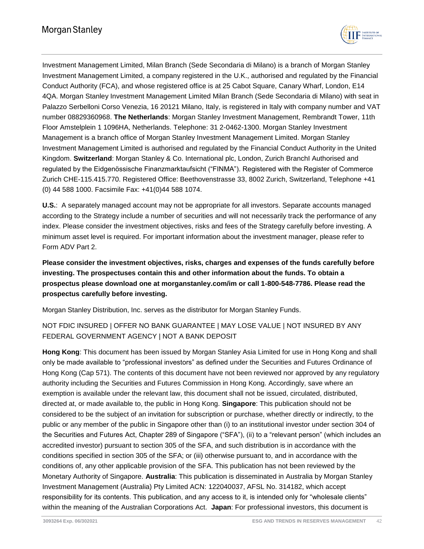

Investment Management Limited, Milan Branch (Sede Secondaria di Milano) is a branch of Morgan Stanley Investment Management Limited, a company registered in the U.K., authorised and regulated by the Financial Conduct Authority (FCA), and whose registered office is at 25 Cabot Square, Canary Wharf, London, E14 4QA. Morgan Stanley Investment Management Limited Milan Branch (Sede Secondaria di Milano) with seat in Palazzo Serbelloni Corso Venezia, 16 20121 Milano, Italy, is registered in Italy with company number and VAT number 08829360968. **The Netherlands**: Morgan Stanley Investment Management, Rembrandt Tower, 11th Floor Amstelplein 1 1096HA, Netherlands. Telephone: 31 2-0462-1300. Morgan Stanley Investment Management is a branch office of Morgan Stanley Investment Management Limited. Morgan Stanley Investment Management Limited is authorised and regulated by the Financial Conduct Authority in the United Kingdom. **Switzerland**: Morgan Stanley & Co. International plc, London, Zurich BranchI Authorised and regulated by the Eidgenössische Finanzmarktaufsicht ("FINMA"). Registered with the Register of Commerce Zurich CHE-115.415.770. Registered Office: Beethovenstrasse 33, 8002 Zurich, Switzerland, Telephone +41 (0) 44 588 1000. Facsimile Fax: +41(0)44 588 1074.

**U.S.**: A separately managed account may not be appropriate for all investors. Separate accounts managed according to the Strategy include a number of securities and will not necessarily track the performance of any index. Please consider the investment objectives, risks and fees of the Strategy carefully before investing. A minimum asset level is required. For important information about the investment manager, please refer to Form ADV Part 2.

**Please consider the investment objectives, risks, charges and expenses of the funds carefully before investing. The prospectuses contain this and other information about the funds. To obtain a prospectus please download one at morganstanley.com/im or call 1-800-548-7786. Please read the prospectus carefully before investing.**

Morgan Stanley Distribution, Inc. serves as the distributor for Morgan Stanley Funds.

# NOT FDIC INSURED | OFFER NO BANK GUARANTEE | MAY LOSE VALUE | NOT INSURED BY ANY FEDERAL GOVERNMENT AGENCY | NOT A BANK DEPOSIT

**Hong Kong**: This document has been issued by Morgan Stanley Asia Limited for use in Hong Kong and shall only be made available to "professional investors" as defined under the Securities and Futures Ordinance of Hong Kong (Cap 571). The contents of this document have not been reviewed nor approved by any regulatory authority including the Securities and Futures Commission in Hong Kong. Accordingly, save where an exemption is available under the relevant law, this document shall not be issued, circulated, distributed, directed at, or made available to, the public in Hong Kong. **Singapore**: This publication should not be considered to be the subject of an invitation for subscription or purchase, whether directly or indirectly, to the public or any member of the public in Singapore other than (i) to an institutional investor under section 304 of the Securities and Futures Act, Chapter 289 of Singapore ("SFA"), (ii) to a "relevant person" (which includes an accredited investor) pursuant to section 305 of the SFA, and such distribution is in accordance with the conditions specified in section 305 of the SFA; or (iii) otherwise pursuant to, and in accordance with the conditions of, any other applicable provision of the SFA. This publication has not been reviewed by the Monetary Authority of Singapore. **Australia**: This publication is disseminated in Australia by Morgan Stanley Investment Management (Australia) Pty Limited ACN: 122040037, AFSL No. 314182, which accept responsibility for its contents. This publication, and any access to it, is intended only for "wholesale clients" within the meaning of the Australian Corporations Act. **Japan**: For professional investors, this document is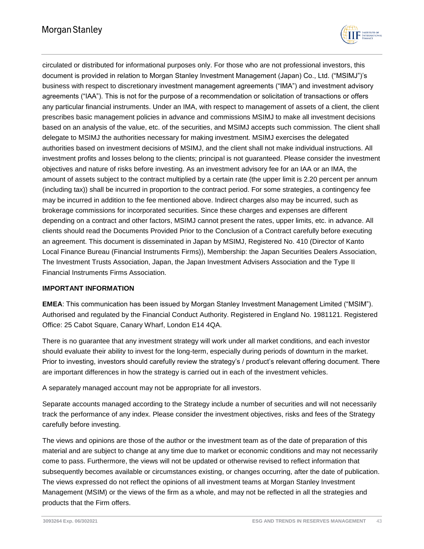

circulated or distributed for informational purposes only. For those who are not professional investors, this document is provided in relation to Morgan Stanley Investment Management (Japan) Co., Ltd. ("MSIMJ")'s business with respect to discretionary investment management agreements ("IMA") and investment advisory agreements ("IAA"). This is not for the purpose of a recommendation or solicitation of transactions or offers any particular financial instruments. Under an IMA, with respect to management of assets of a client, the client prescribes basic management policies in advance and commissions MSIMJ to make all investment decisions based on an analysis of the value, etc. of the securities, and MSIMJ accepts such commission. The client shall delegate to MSIMJ the authorities necessary for making investment. MSIMJ exercises the delegated authorities based on investment decisions of MSIMJ, and the client shall not make individual instructions. All investment profits and losses belong to the clients; principal is not guaranteed. Please consider the investment objectives and nature of risks before investing. As an investment advisory fee for an IAA or an IMA, the amount of assets subject to the contract multiplied by a certain rate (the upper limit is 2.20 percent per annum (including tax)) shall be incurred in proportion to the contract period. For some strategies, a contingency fee may be incurred in addition to the fee mentioned above. Indirect charges also may be incurred, such as brokerage commissions for incorporated securities. Since these charges and expenses are different depending on a contract and other factors, MSIMJ cannot present the rates, upper limits, etc. in advance. All clients should read the Documents Provided Prior to the Conclusion of a Contract carefully before executing an agreement. This document is disseminated in Japan by MSIMJ, Registered No. 410 (Director of Kanto Local Finance Bureau (Financial Instruments Firms)), Membership: the Japan Securities Dealers Association, The Investment Trusts Association, Japan, the Japan Investment Advisers Association and the Type II Financial Instruments Firms Association.

## **IMPORTANT INFORMATION**

**EMEA**: This communication has been issued by Morgan Stanley Investment Management Limited ("MSIM"). Authorised and regulated by the Financial Conduct Authority. Registered in England No. 1981121. Registered Office: 25 Cabot Square, Canary Wharf, London E14 4QA.

There is no guarantee that any investment strategy will work under all market conditions, and each investor should evaluate their ability to invest for the long-term, especially during periods of downturn in the market. Prior to investing, investors should carefully review the strategy's / product's relevant offering document. There are important differences in how the strategy is carried out in each of the investment vehicles.

A separately managed account may not be appropriate for all investors.

Separate accounts managed according to the Strategy include a number of securities and will not necessarily track the performance of any index. Please consider the investment objectives, risks and fees of the Strategy carefully before investing.

The views and opinions are those of the author or the investment team as of the date of preparation of this material and are subject to change at any time due to market or economic conditions and may not necessarily come to pass. Furthermore, the views will not be updated or otherwise revised to reflect information that subsequently becomes available or circumstances existing, or changes occurring, after the date of publication. The views expressed do not reflect the opinions of all investment teams at Morgan Stanley Investment Management (MSIM) or the views of the firm as a whole, and may not be reflected in all the strategies and products that the Firm offers.